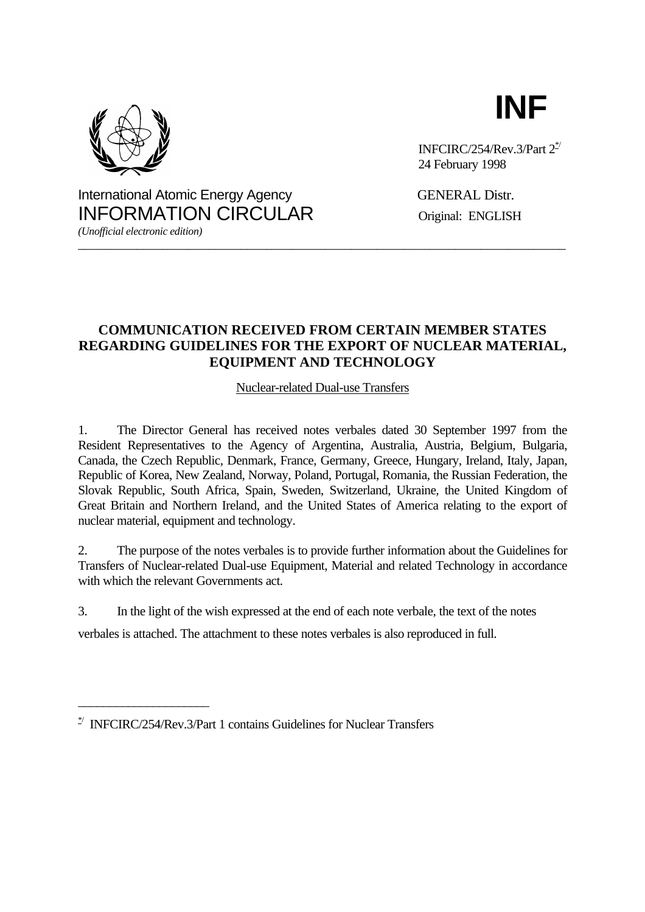

 **INF**

INFCIRC/254/Rev.3/Part  $2^{2}$ 24 February 1998

International Atomic Energy Agency **GENERAL Distr.** INFORMATION CIRCULAR Original: ENGLISH *(Unofficial electronic edition)*

# **COMMUNICATION RECEIVED FROM CERTAIN MEMBER STATES REGARDING GUIDELINES FOR THE EXPORT OF NUCLEAR MATERIAL, EQUIPMENT AND TECHNOLOGY**

\_\_\_\_\_\_\_\_\_\_\_\_\_\_\_\_\_\_\_\_\_\_\_\_\_\_\_\_\_\_\_\_\_\_\_\_\_\_\_\_\_\_\_\_\_\_\_\_\_\_\_\_\_\_\_\_\_\_\_\_\_\_\_\_\_\_\_\_\_\_\_\_\_\_\_

Nuclear-related Dual-use Transfers

1. The Director General has received notes verbales dated 30 September 1997 from the Resident Representatives to the Agency of Argentina, Australia, Austria, Belgium, Bulgaria, Canada, the Czech Republic, Denmark, France, Germany, Greece, Hungary, Ireland, Italy, Japan, Republic of Korea, New Zealand, Norway, Poland, Portugal, Romania, the Russian Federation, the Slovak Republic, South Africa, Spain, Sweden, Switzerland, Ukraine, the United Kingdom of Great Britain and Northern Ireland, and the United States of America relating to the export of nuclear material, equipment and technology.

2. The purpose of the notes verbales is to provide further information about the Guidelines for Transfers of Nuclear-related Dual-use Equipment, Material and related Technology in accordance with which the relevant Governments act.

3. In the light of the wish expressed at the end of each note verbale, the text of the notes

verbales is attached. The attachment to these notes verbales is also reproduced in full.

\_\_\_\_\_\_\_\_\_\_\_\_\_\_\_\_\_\_\_\_\_

<sup>\*/</sup> INFCIRC/254/Rev.3/Part 1 contains Guidelines for Nuclear Transfers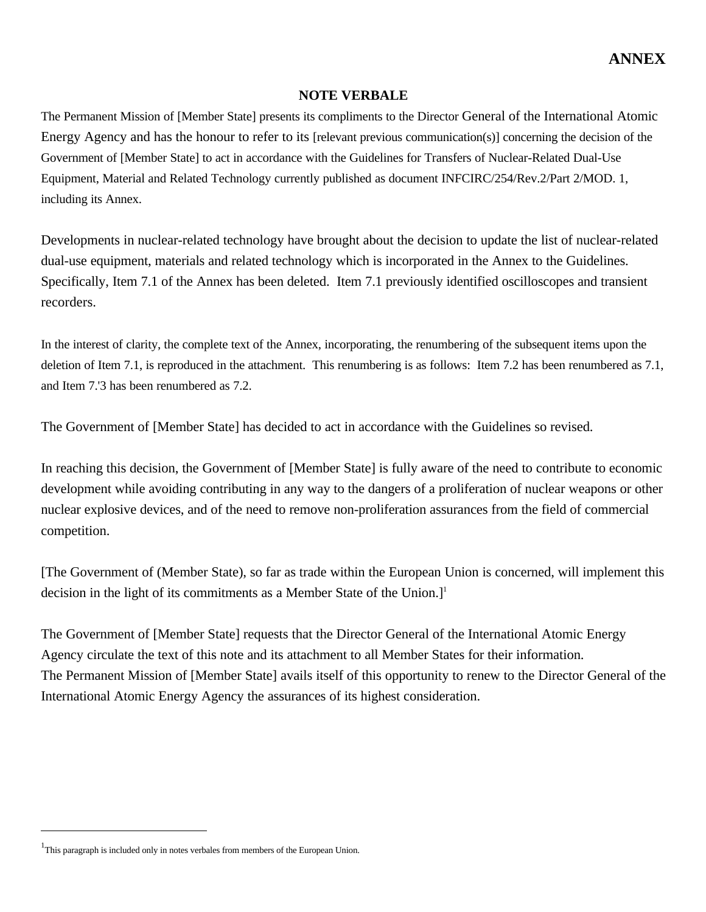## **NOTE VERBALE**

The Permanent Mission of [Member State] presents its compliments to the Director General of the International Atomic Energy Agency and has the honour to refer to its [relevant previous communication(s)] concerning the decision of the Government of [Member State] to act in accordance with the Guidelines for Transfers of Nuclear-Related Dual-Use Equipment, Material and Related Technology currently published as document INFCIRC/254/Rev.2/Part 2/MOD. 1, including its Annex.

Developments in nuclear-related technology have brought about the decision to update the list of nuclear-related dual-use equipment, materials and related technology which is incorporated in the Annex to the Guidelines. Specifically, Item 7.1 of the Annex has been deleted. Item 7.1 previously identified oscilloscopes and transient recorders.

In the interest of clarity, the complete text of the Annex, incorporating, the renumbering of the subsequent items upon the deletion of Item 7.1, is reproduced in the attachment. This renumbering is as follows: Item 7.2 has been renumbered as 7.1, and Item 7.'3 has been renumbered as 7.2.

The Government of [Member State] has decided to act in accordance with the Guidelines so revised.

In reaching this decision, the Government of [Member State] is fully aware of the need to contribute to economic development while avoiding contributing in any way to the dangers of a proliferation of nuclear weapons or other nuclear explosive devices, and of the need to remove non-proliferation assurances from the field of commercial competition.

[The Government of (Member State), so far as trade within the European Union is concerned, will implement this decision in the light of its commitments as a Member State of the Union.<sup>1</sup>

The Government of [Member State] requests that the Director General of the International Atomic Energy Agency circulate the text of this note and its attachment to all Member States for their information. The Permanent Mission of [Member State] avails itself of this opportunity to renew to the Director General of the International Atomic Energy Agency the assurances of its highest consideration.

-

<sup>&</sup>lt;sup>1</sup>This paragraph is included only in notes verbales from members of the European Union.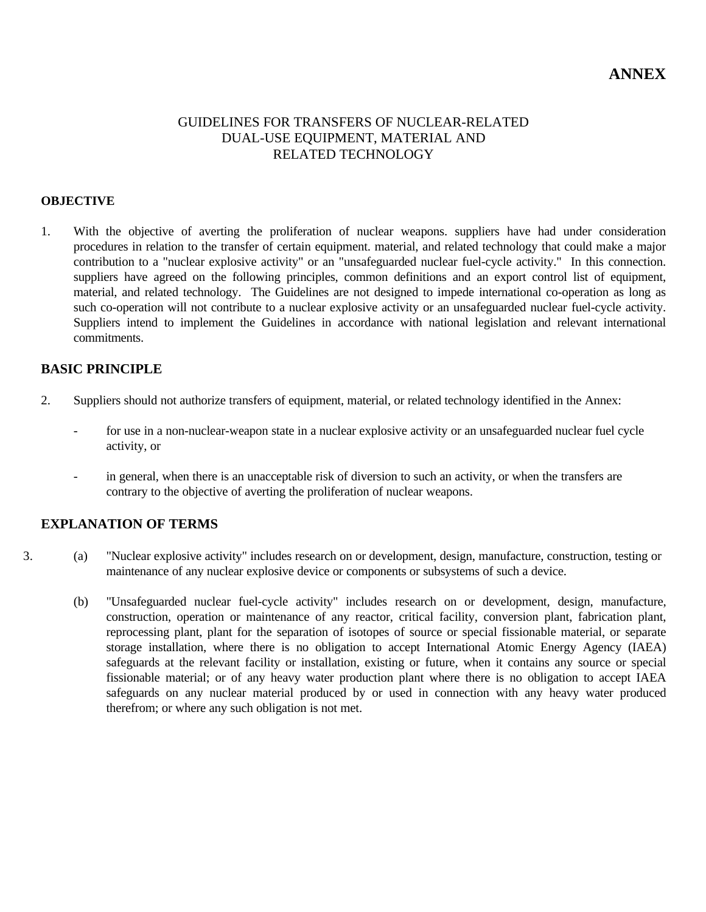# **ANNEX**

## GUIDELINES FOR TRANSFERS OF NUCLEAR-RELATED DUAL-USE EQUIPMENT, MATERIAL AND RELATED TECHNOLOGY

#### **OBJECTIVE**

1. With the objective of averting the proliferation of nuclear weapons. suppliers have had under consideration procedures in relation to the transfer of certain equipment. material, and related technology that could make a major contribution to a "nuclear explosive activity" or an "unsafeguarded nuclear fuel-cycle activity." In this connection. suppliers have agreed on the following principles, common definitions and an export control list of equipment, material, and related technology. The Guidelines are not designed to impede international co-operation as long as such co-operation will not contribute to a nuclear explosive activity or an unsafeguarded nuclear fuel-cycle activity. Suppliers intend to implement the Guidelines in accordance with national legislation and relevant international commitments.

#### **BASIC PRINCIPLE**

- 2. Suppliers should not authorize transfers of equipment, material, or related technology identified in the Annex:
	- for use in a non-nuclear-weapon state in a nuclear explosive activity or an unsafeguarded nuclear fuel cycle activity, or
	- in general, when there is an unacceptable risk of diversion to such an activity, or when the transfers are contrary to the objective of averting the proliferation of nuclear weapons.

#### **EXPLANATION OF TERMS**

- 3. (a) "Nuclear explosive activity" includes research on or development, design, manufacture, construction, testing or maintenance of any nuclear explosive device or components or subsystems of such a device.
	- (b) "Unsafeguarded nuclear fuel-cycle activity" includes research on or development, design, manufacture, construction, operation or maintenance of any reactor, critical facility, conversion plant, fabrication plant, reprocessing plant, plant for the separation of isotopes of source or special fissionable material, or separate storage installation, where there is no obligation to accept International Atomic Energy Agency (IAEA) safeguards at the relevant facility or installation, existing or future, when it contains any source or special fissionable material; or of any heavy water production plant where there is no obligation to accept IAEA safeguards on any nuclear material produced by or used in connection with any heavy water produced therefrom; or where any such obligation is not met.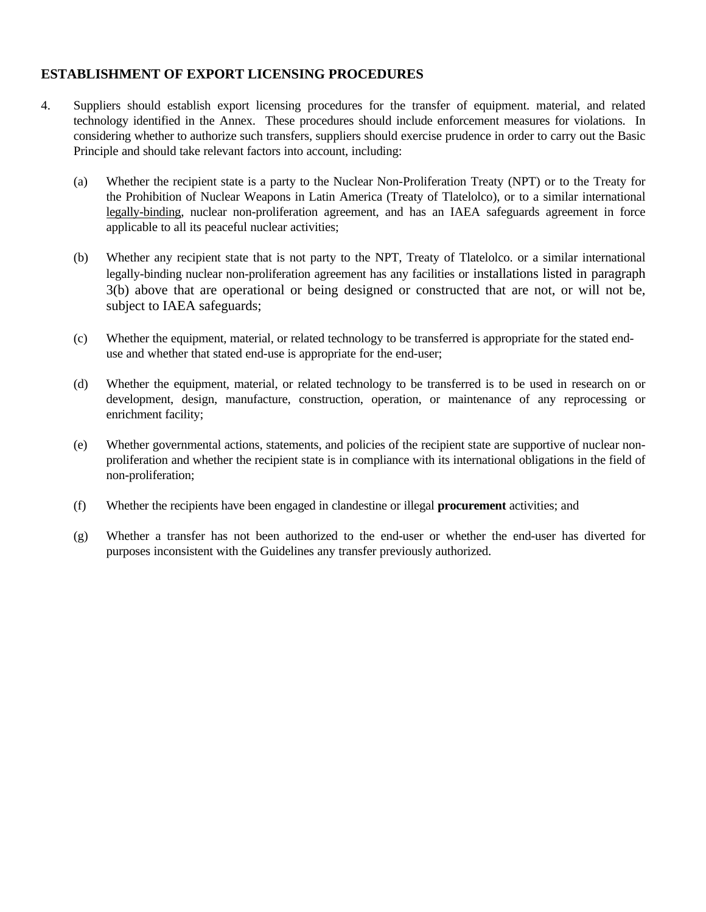## **ESTABLISHMENT OF EXPORT LICENSING PROCEDURES**

- 4. Suppliers should establish export licensing procedures for the transfer of equipment. material, and related technology identified in the Annex. These procedures should include enforcement measures for violations. In considering whether to authorize such transfers, suppliers should exercise prudence in order to carry out the Basic Principle and should take relevant factors into account, including:
	- (a) Whether the recipient state is a party to the Nuclear Non-Proliferation Treaty (NPT) or to the Treaty for the Prohibition of Nuclear Weapons in Latin America (Treaty of Tlatelolco), or to a similar international legally-binding, nuclear non-proliferation agreement, and has an IAEA safeguards agreement in force applicable to all its peaceful nuclear activities;
	- (b) Whether any recipient state that is not party to the NPT, Treaty of Tlatelolco. or a similar international legally-binding nuclear non-proliferation agreement has any facilities or installations listed in paragraph 3(b) above that are operational or being designed or constructed that are not, or will not be, subject to IAEA safeguards;
	- (c) Whether the equipment, material, or related technology to be transferred is appropriate for the stated enduse and whether that stated end-use is appropriate for the end-user;
	- (d) Whether the equipment, material, or related technology to be transferred is to be used in research on or development, design, manufacture, construction, operation, or maintenance of any reprocessing or enrichment facility;
	- (e) Whether governmental actions, statements, and policies of the recipient state are supportive of nuclear nonproliferation and whether the recipient state is in compliance with its international obligations in the field of non-proliferation;
	- (f) Whether the recipients have been engaged in clandestine or illegal **procurement** activities; and
	- (g) Whether a transfer has not been authorized to the end-user or whether the end-user has diverted for purposes inconsistent with the Guidelines any transfer previously authorized.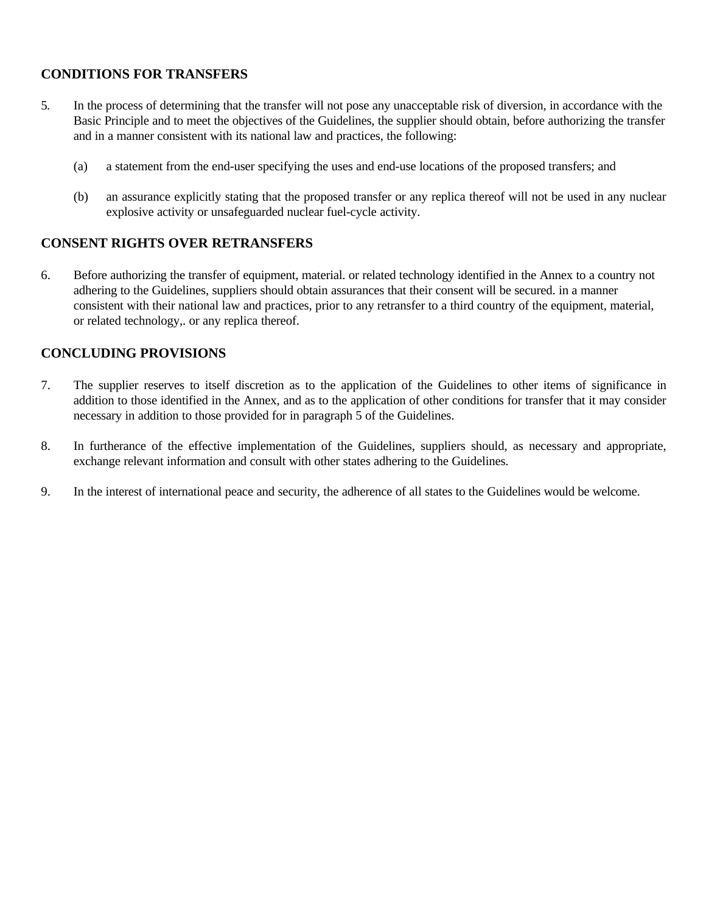## **CONDITIONS FOR TRANSFERS**

- 5*.* In the process of determining that the transfer will not pose any unacceptable risk of diversion, in accordance with the Basic Principle and to meet the objectives of the Guidelines, the supplier should obtain, before authorizing the transfer and in a manner consistent with its national law and practices, the following:
	- (a) a statement from the end-user specifying the uses and end-use locations of the proposed transfers; and
	- (b) an assurance explicitly stating that the proposed transfer or any replica thereof will not be used in any nuclear explosive activity or unsafeguarded nuclear fuel-cycle activity.

## **CONSENT RIGHTS OVER RETRANSFERS**

6. Before authorizing the transfer of equipment, material. or related technology identified in the Annex to a country not adhering to the Guidelines, suppliers should obtain assurances that their consent will be secured. in a manner consistent with their national law and practices, prior to any retransfer to a third country of the equipment, material, or related technology,. or any replica thereof.

## **CONCLUDING PROVISIONS**

- 7. The supplier reserves to itself discretion as to the application of the Guidelines to other items of significance in addition to those identified in the Annex, and as to the application of other conditions for transfer that it may consider necessary in addition to those provided for in paragraph 5 of the Guidelines.
- 8. In furtherance of the effective implementation of the Guidelines, suppliers should, as necessary and appropriate, exchange relevant information and consult with other states adhering to the Guidelines.
- 9. In the interest of international peace and security, the adherence of all states to the Guidelines would be welcome.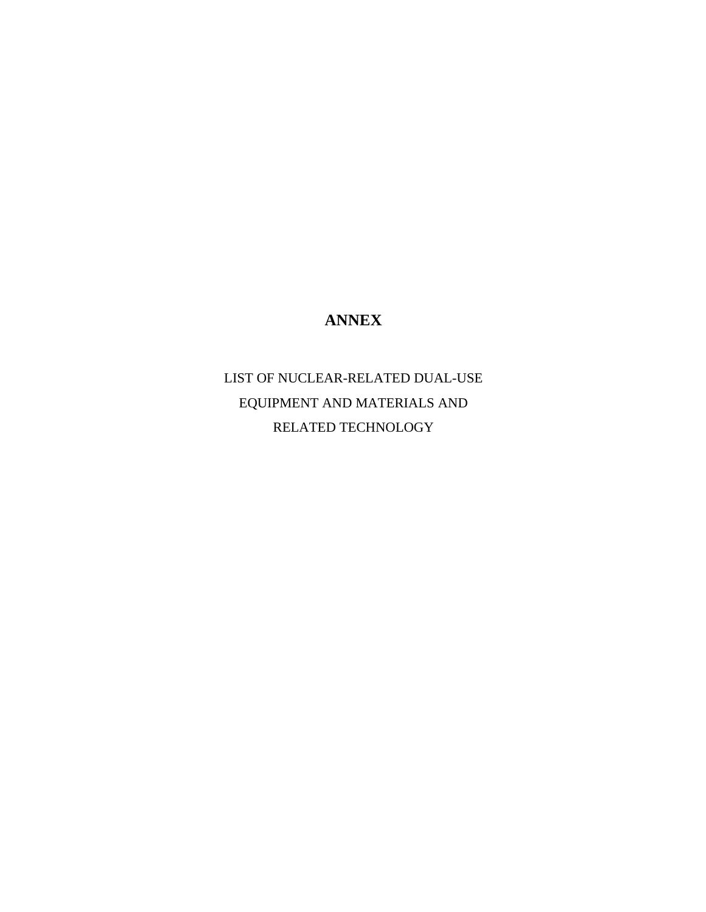# **ANNEX**

LIST OF NUCLEAR-RELATED DUAL-USE EQUIPMENT AND MATERIALS AND RELATED TECHNOLOGY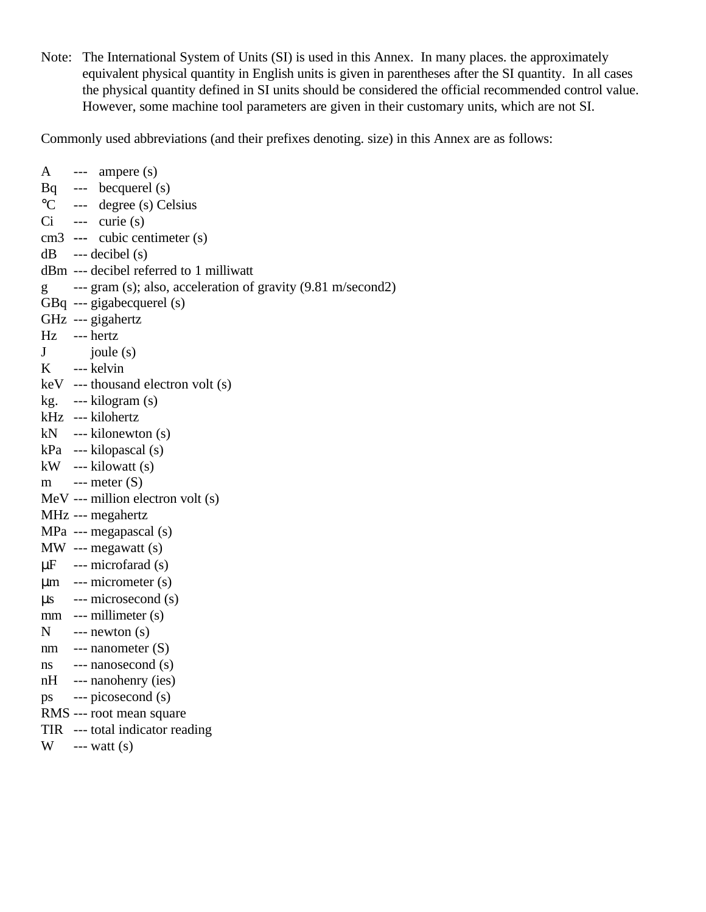Note: The International System of Units (SI) is used in this Annex. In many places. the approximately equivalent physical quantity in English units is given in parentheses after the SI quantity. In all cases the physical quantity defined in SI units should be considered the official recommended control value. However, some machine tool parameters are given in their customary units, which are not SI.

Commonly used abbreviations (and their prefixes denoting. size) in this Annex are as follows:

```
A \quad \text{---} \quad \text{ampere} \quad (s)Bq --- becquerel (s)
°C --- degree (s) Celsius
Ci \quad -- \quad curve(s)cm3 --- cubic centimeter (s)
dB --- decibel (s)dBm --- decibel referred to 1 milliwatt
g --- gram (s); also, acceleration of gravity (9.81 m/second2)
GBq --- gigabecquerel (s)
GHz --- gigahertz
Hz --- hertz
J joule (s)
K --- kelvin
keV --- thousand electron volt (s)
kg. --- kilogram (s)
kHz --- kilohertz
kN --- kilonewton (s)kPa --- kilopascal (s)
kW --- kilowatt (s)
m --- meter (S)MeV --- million electron volt (s)
MHz --- megahertz
MPa --- megapascal (s)
MW \leftarrow \text{megawatt}(s)\muF --- microfarad (s)
μm --- micrometer (s)
\mus --- microsecond (s)
mm --- millimeter (s)
N \quad -\text{Newton (s)}nm --- nanometer (S)
ns --- nanosecond (s)
nH --- nanohenry (ies)
ps --- picosecond (s)
RMS --- root mean square
TIR --- total indicator reading
W \leftarrow watt (s)
```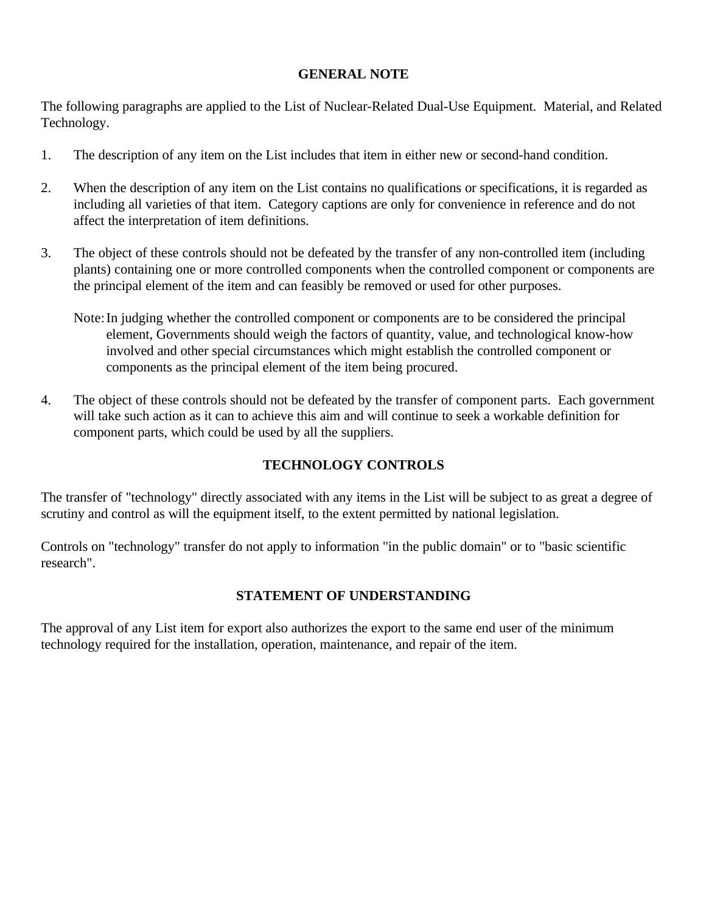## **GENERAL NOTE**

The following paragraphs are applied to the List of Nuclear-Related Dual-Use Equipment. Material, and Related Technology.

- 1. The description of any item on the List includes that item in either new or second-hand condition.
- 2. When the description of any item on the List contains no qualifications or specifications, it is regarded as including all varieties of that item. Category captions are only for convenience in reference and do not affect the interpretation of item definitions.
- 3. The object of these controls should not be defeated by the transfer of any non-controlled item (including plants) containing one or more controlled components when the controlled component or components are the principal element of the item and can feasibly be removed or used for other purposes.
	- Note:In judging whether the controlled component or components are to be considered the principal element, Governments should weigh the factors of quantity, value, and technological know-how involved and other special circumstances which might establish the controlled component or components as the principal element of the item being procured.
- 4. The object of these controls should not be defeated by the transfer of component parts. Each government will take such action as it can to achieve this aim and will continue to seek a workable definition for component parts, which could be used by all the suppliers.

# **TECHNOLOGY CONTROLS**

The transfer of "technology" directly associated with any items in the List will be subject to as great a degree of scrutiny and control as will the equipment itself, to the extent permitted by national legislation.

Controls on "technology" transfer do not apply to information "in the public domain" or to "basic scientific research".

# **STATEMENT OF UNDERSTANDING**

The approval of any List item for export also authorizes the export to the same end user of the minimum technology required for the installation, operation, maintenance, and repair of the item.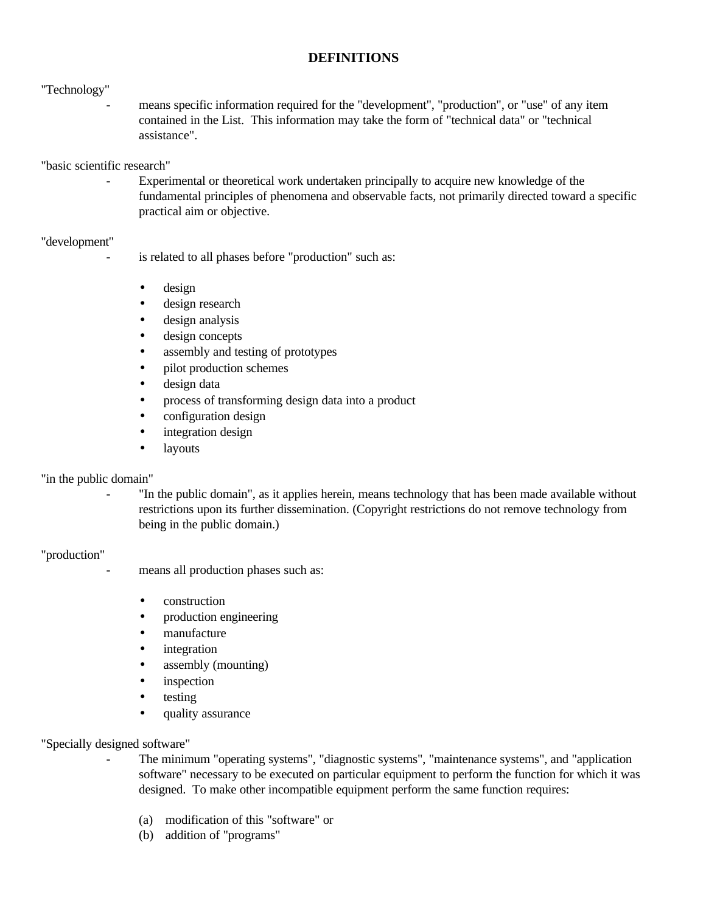## **DEFINITIONS**

#### "Technology"

means specific information required for the "development", "production", or "use" of any item contained in the List. This information may take the form of "technical data" or "technical assistance".

### "basic scientific research"

Experimental or theoretical work undertaken principally to acquire new knowledge of the fundamental principles of phenomena and observable facts, not primarily directed toward a specific practical aim or objective.

### "development"

- is related to all phases before "production" such as:
	- design
	- design research
	- design analysis
	- design concepts
	- assembly and testing of prototypes
	- pilot production schemes
	- design data
	- process of transforming design data into a product
	- configuration design
	- integration design
	- **layouts**

### "in the public domain"

"In the public domain", as it applies herein, means technology that has been made available without restrictions upon its further dissemination. (Copyright restrictions do not remove technology from being in the public domain.)

### "production"

- means all production phases such as:
	- construction
	- production engineering
	- manufacture
	- *integration*
	- assembly (mounting)
	- inspection
	- testing
	- quality assurance

## "Specially designed software"

- The minimum "operating systems", "diagnostic systems", "maintenance systems", and "application software" necessary to be executed on particular equipment to perform the function for which it was designed. To make other incompatible equipment perform the same function requires:
	- (a) modification of this "software" or
	- (b) addition of "programs"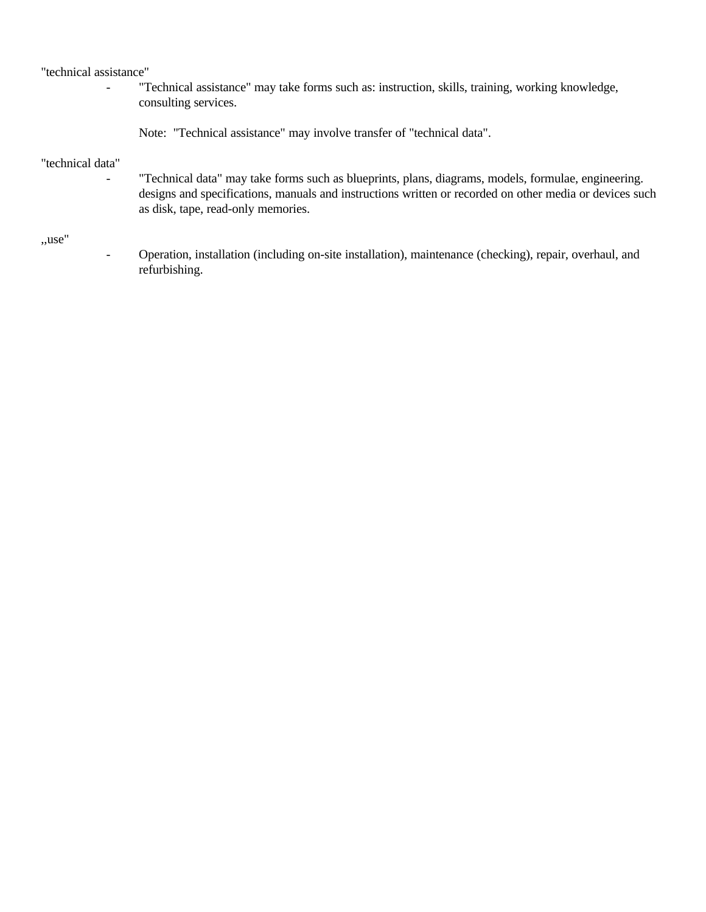"technical assistance"

- "Technical assistance" may take forms such as: instruction, skills, training, working knowledge, consulting services.
	- Note: "Technical assistance" may involve transfer of "technical data".

"technical data"

- "Technical data" may take forms such as blueprints, plans, diagrams, models, formulae, engineering. designs and specifications, manuals and instructions written or recorded on other media or devices such as disk, tape, read-only memories.

,,use"

- Operation, installation (including on-site installation), maintenance (checking), repair, overhaul, and refurbishing.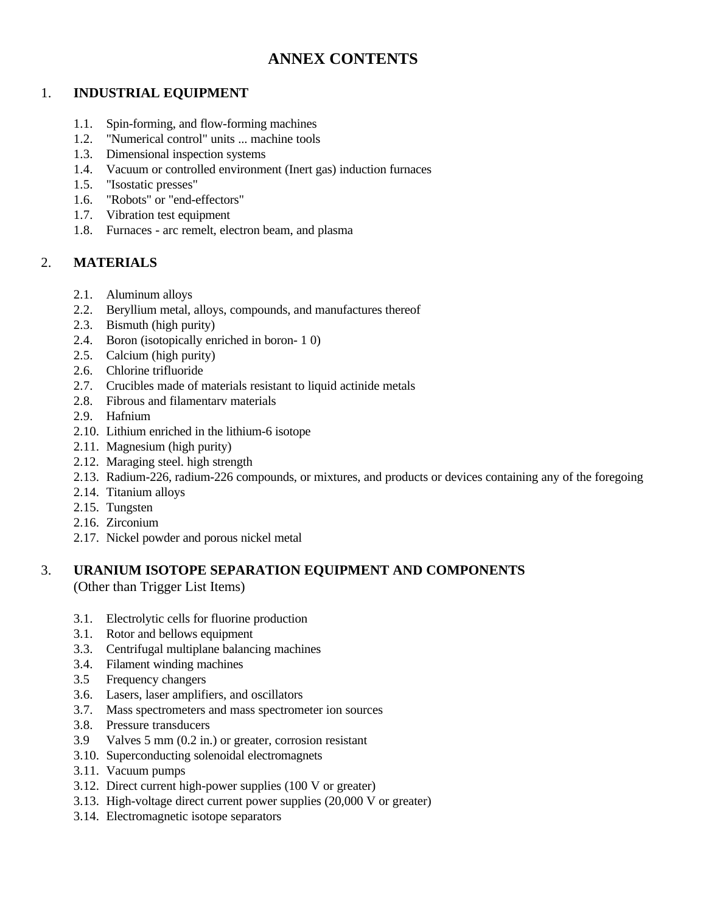# **ANNEX CONTENTS**

## 1. **INDUSTRIAL EQUIPMENT**

- 1.1. Spin-forming, and flow-forming machines
- 1.2. "Numerical control" units ... machine tools
- 1.3. Dimensional inspection systems
- 1.4. Vacuum or controlled environment (Inert gas) induction furnaces
- 1.5. "Isostatic presses"
- 1.6. "Robots" or "end-effectors"
- 1.7. Vibration test equipment
- 1.8. Furnaces arc remelt, electron beam, and plasma

## 2. **MATERIALS**

- 2.1. Aluminum alloys
- 2.2. Beryllium metal, alloys, compounds, and manufactures thereof
- 2.3. Bismuth (high purity)
- 2.4. Boron (isotopically enriched in boron- 1 0)
- 2.5. Calcium (high purity)
- 2.6. Chlorine trifluoride
- 2.7. Crucibles made of materials resistant to liquid actinide metals
- 2.8. Fibrous and filamentarv materials
- 2.9. Hafnium
- 2.10. Lithium enriched in the lithium-6 isotope
- 2.11. Magnesium (high purity)
- 2.12. Maraging steel. high strength
- 2.13. Radium-226, radium-226 compounds, or mixtures, and products or devices containing any of the foregoing
- 2.14. Titanium alloys
- 2.15. Tungsten
- 2.16. Zirconium
- 2.17. Nickel powder and porous nickel metal

# 3. **URANIUM ISOTOPE SEPARATION EQUIPMENT AND COMPONENTS**

(Other than Trigger List Items)

- 3.1. Electrolytic cells for fluorine production
- 3.1. Rotor and bellows equipment
- 3.3. Centrifugal multiplane balancing machines
- 3.4. Filament winding machines
- 3.5 Frequency changers
- 3.6. Lasers, laser amplifiers, and oscillators
- 3.7. Mass spectrometers and mass spectrometer ion sources
- 3.8. Pressure transducers
- 3.9 Valves 5 mm (0.2 in.) or greater, corrosion resistant
- 3.10. Superconducting solenoidal electromagnets
- 3.11. Vacuum pumps
- 3.12. Direct current high-power supplies (100 V or greater)
- 3.13. High-voltage direct current power supplies (20,000 V or greater)
- 3.14. Electromagnetic isotope separators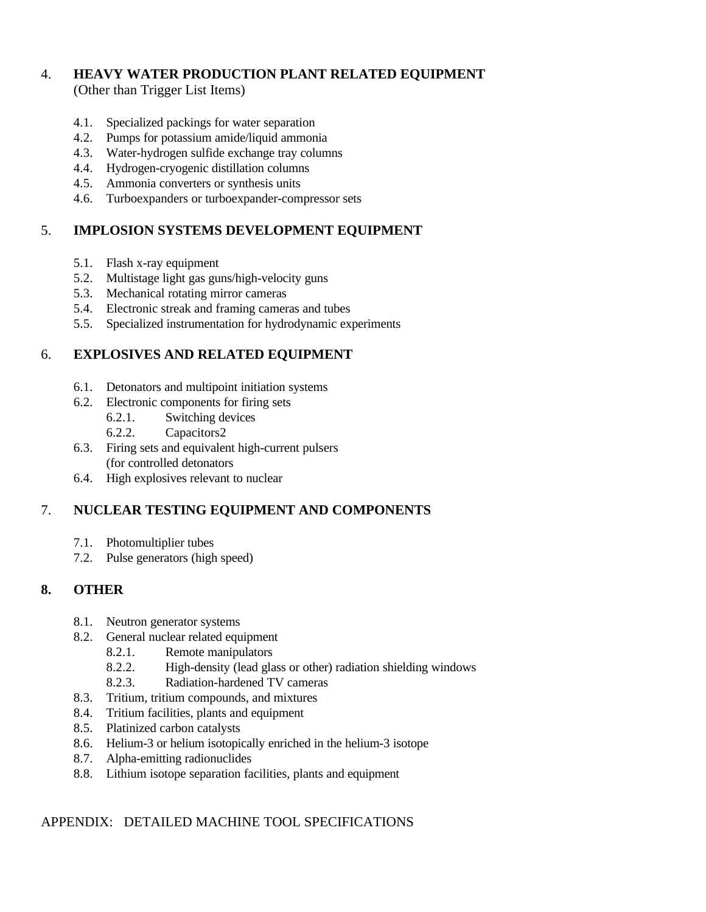## 4. **HEAVY WATER PRODUCTION PLANT RELATED EQUIPMENT**

(Other than Trigger List Items)

- 4.1. Specialized packings for water separation
- 4.2. Pumps for potassium amide/liquid ammonia
- 4.3. Water-hydrogen sulfide exchange tray columns
- 4.4. Hydrogen-cryogenic distillation columns
- 4.5. Ammonia converters or synthesis units
- 4.6. Turboexpanders or turboexpander-compressor sets

## 5. **IMPLOSION SYSTEMS DEVELOPMENT EQUIPMENT**

- 5.1. Flash x-ray equipment
- 5.2. Multistage light gas guns/high-velocity guns
- 5.3. Mechanical rotating mirror cameras
- 5.4. Electronic streak and framing cameras and tubes
- 5.5. Specialized instrumentation for hydrodynamic experiments

# 6. **EXPLOSIVES AND RELATED EQUIPMENT**

- 6.1. Detonators and multipoint initiation systems
- 6.2. Electronic components for firing sets
	- 6.2.1. Switching devices
	- 6.2.2. Capacitors2
- 6.3. Firing sets and equivalent high-current pulsers (for controlled detonators
- 6.4. High explosives relevant to nuclear

# 7. **NUCLEAR TESTING EQUIPMENT AND COMPONENTS**

- 7.1. Photomultiplier tubes
- 7.2. Pulse generators (high speed)

# **8. OTHER**

- 8.1. Neutron generator systems
- 8.2. General nuclear related equipment
	- 8.2.1. Remote manipulators
	- 8.2.2. High-density (lead glass or other) radiation shielding windows
	- 8.2.3. Radiation-hardened TV cameras
- 8.3. Tritium, tritium compounds, and mixtures
- 8.4. Tritium facilities, plants and equipment
- 8.5. Platinized carbon catalysts
- 8.6. Helium-3 or helium isotopically enriched in the helium-3 isotope
- 8.7. Alpha-emitting radionuclides
- 8.8. Lithium isotope separation facilities, plants and equipment

## APPENDIX: DETAILED MACHINE TOOL SPECIFICATIONS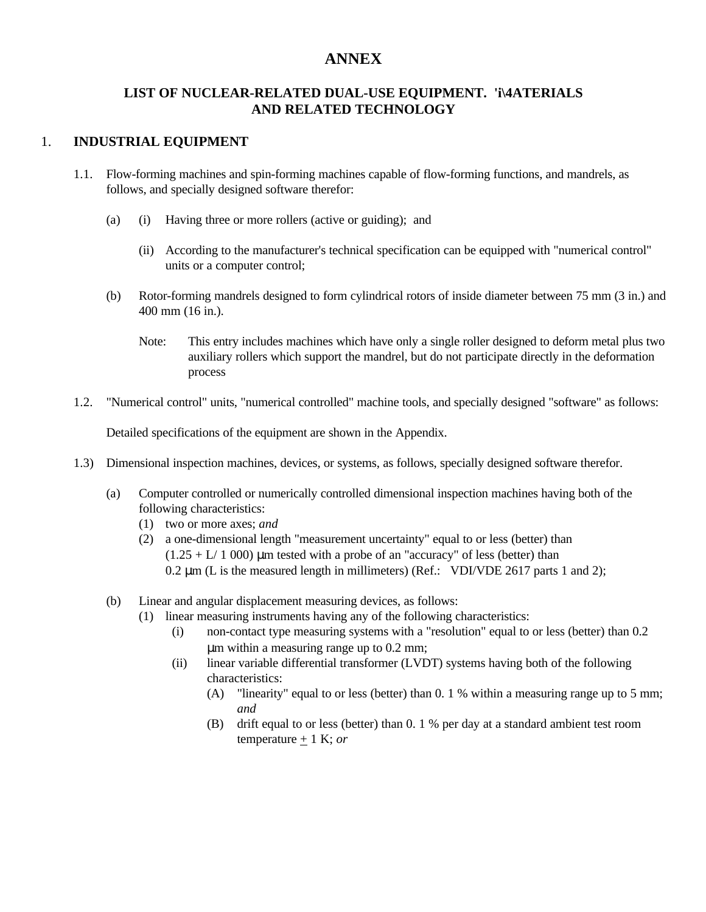# **ANNEX**

## **LIST OF NUCLEAR-RELATED DUAL-USE EQUIPMENT. 'i\4ATERIALS AND RELATED TECHNOLOGY**

### 1. **INDUSTRIAL EQUIPMENT**

- 1.1. Flow-forming machines and spin-forming machines capable of flow-forming functions, and mandrels, as follows, and specially designed software therefor:
	- (a) (i) Having three or more rollers (active or guiding); and
		- (ii) According to the manufacturer's technical specification can be equipped with "numerical control" units or a computer control;
	- (b) Rotor-forming mandrels designed to form cylindrical rotors of inside diameter between 75 mm (3 in.) and 400 mm (16 in.).
		- Note: This entry includes machines which have only a single roller designed to deform metal plus two auxiliary rollers which support the mandrel, but do not participate directly in the deformation process
- 1.2. "Numerical control" units, "numerical controlled" machine tools, and specially designed "software" as follows:

Detailed specifications of the equipment are shown in the Appendix.

- 1.3) Dimensional inspection machines, devices, or systems, as follows, specially designed software therefor.
	- (a) Computer controlled or numerically controlled dimensional inspection machines having both of the following characteristics:
		- (1) two or more axes; *and*
		- (2) a one-dimensional length "measurement uncertainty" equal to or less (better) than  $(1.25 + L/ 1 000)$  µm tested with a probe of an "accuracy" of less (better) than  $0.2 \mu$ m (L is the measured length in millimeters) (Ref.: VDI/VDE 2617 parts 1 and 2);
	- (b) Linear and angular displacement measuring devices, as follows:
		- (1) linear measuring instruments having any of the following characteristics:
			- (i) non-contact type measuring systems with a "resolution" equal to or less (better) than 0.2 μm within a measuring range up to 0.2 mm;
			- (ii) linear variable differential transformer (LVDT) systems having both of the following characteristics:
				- (A) "linearity" equal to or less (better) than 0. 1 % within a measuring range up to 5 mm; *and*
				- (B) drift equal to or less (better) than 0. 1 % per day at a standard ambient test room temperature + 1 K; *or*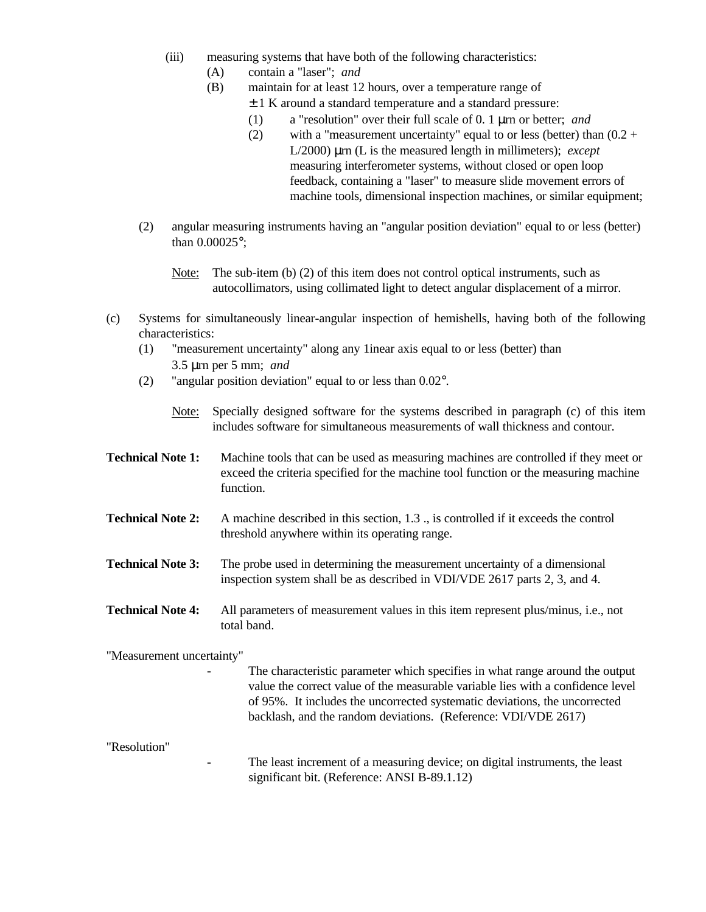- (iii) measuring systems that have both of the following characteristics:
	- (A) contain a "laser"; *and*
	- (B) maintain for at least 12 hours, over a temperature range of
		- $\pm$  1 K around a standard temperature and a standard pressure:
			- (1) a "resolution" over their full scale of 0. 1 μrn or better; *and*
			- (2) with a "measurement uncertainty" equal to or less (better) than  $(0.2 +$ L/2000) μrn (L is the measured length in millimeters); *except* measuring interferometer systems, without closed or open loop feedback, containing a "laser" to measure slide movement errors of machine tools, dimensional inspection machines, or similar equipment;
- (2) angular measuring instruments having an "angular position deviation" equal to or less (better) than 0.00025°;
	- Note: The sub-item (b) (2) of this item does not control optical instruments, such as autocollimators, using collimated light to detect angular displacement of a mirror.
- (c) Systems for simultaneously linear-angular inspection of hemishells, having both of the following characteristics:
	- (1) "measurement uncertainty" along any 1inear axis equal to or less (better) than 3.5 μrn per 5 mm; *and*
	- (2) "angular position deviation" equal to or less than 0.02°.
		- Note: Specially designed software for the systems described in paragraph (c) of this item includes software for simultaneous measurements of wall thickness and contour.
- **Technical Note 1:** Machine tools that can be used as measuring machines are controlled if they meet or exceed the criteria specified for the machine tool function or the measuring machine function.
- **Technical Note 2:** A machine described in this section, 1.3 ., is controlled if it exceeds the control threshold anywhere within its operating range.
- **Technical Note 3:** The probe used in determining the measurement uncertainty of a dimensional inspection system shall be as described in VDI/VDE 2617 parts 2, 3, and 4.
- **Technical Note 4:** All parameters of measurement values in this item represent plus/minus, i.e., not total band.

"Measurement uncertainty"

The characteristic parameter which specifies in what range around the output value the correct value of the measurable variable lies with a confidence level of 95%. It includes the uncorrected systematic deviations, the uncorrected backlash, and the random deviations. (Reference: VDI/VDE 2617)

"Resolution"

The least increment of a measuring device; on digital instruments, the least significant bit. (Reference: ANSI B-89.1.12)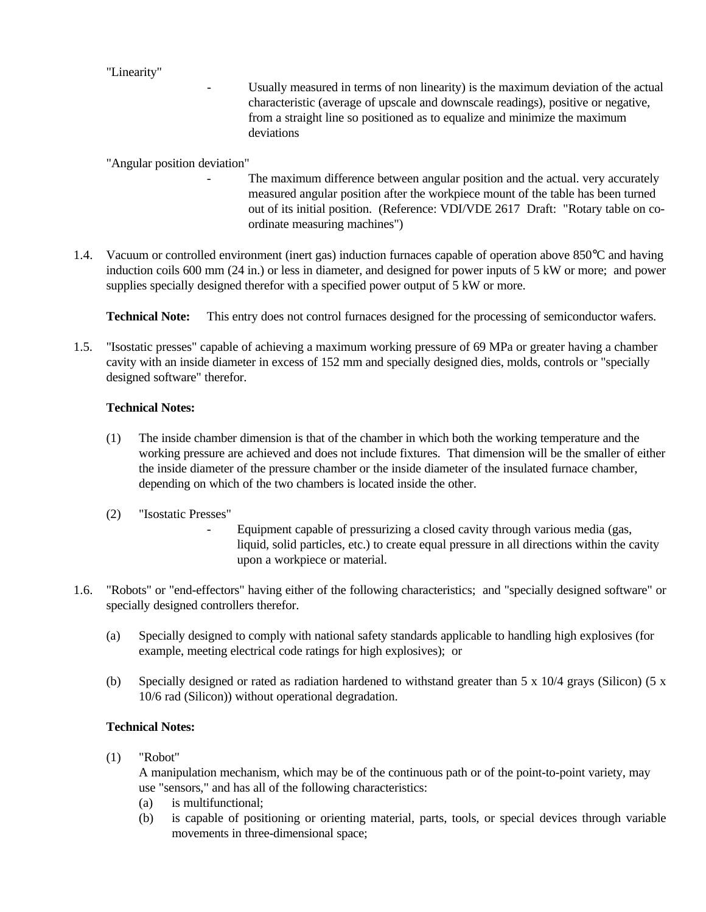#### "Linearity"

Usually measured in terms of non linearity) is the maximum deviation of the actual characteristic (average of upscale and downscale readings), positive or negative, from a straight line so positioned as to equalize and minimize the maximum deviations

"Angular position deviation"

- The maximum difference between angular position and the actual. very accurately measured angular position after the workpiece mount of the table has been turned out of its initial position. (Reference: VDI/VDE 2617 Draft: "Rotary table on coordinate measuring machines")
- 1.4. Vacuum or controlled environment (inert gas) induction furnaces capable of operation above 850°C and having induction coils 600 mm (24 in.) or less in diameter, and designed for power inputs of 5 kW or more; and power supplies specially designed therefor with a specified power output of 5 kW or more.

**Technical Note:** This entry does not control furnaces designed for the processing of semiconductor wafers.

1.5*.* "Isostatic presses" capable of achieving a maximum working pressure of 69 MPa or greater having a chamber cavity with an inside diameter in excess of 152 mm and specially designed dies, molds, controls or "specially designed software" therefor.

#### **Technical Notes:**

- (1) The inside chamber dimension is that of the chamber in which both the working temperature and the working pressure are achieved and does not include fixtures. That dimension will be the smaller of either the inside diameter of the pressure chamber or the inside diameter of the insulated furnace chamber, depending on which of the two chambers is located inside the other.
- (2) "Isostatic Presses"
	- Equipment capable of pressurizing a closed cavity through various media (gas, liquid, solid particles, etc.) to create equal pressure in all directions within the cavity upon a workpiece or material.
- 1.6. "Robots" or "end-effectors" having either of the following characteristics; and "specially designed software" or specially designed controllers therefor.
	- (a) Specially designed to comply with national safety standards applicable to handling high explosives (for example, meeting electrical code ratings for high explosives); or
	- (b) Specially designed or rated as radiation hardened to withstand greater than 5 x 10/4 grays (Silicon) (5 x 10/6 rad (Silicon)) without operational degradation.

#### **Technical Notes:**

(1) "Robot"

A manipulation mechanism, which may be of the continuous path or of the point-to-point variety, may use "sensors," and has all of the following characteristics:

- (a) is multifunctional;
- (b) is capable of positioning or orienting material, parts, tools, or special devices through variable movements in three-dimensional space;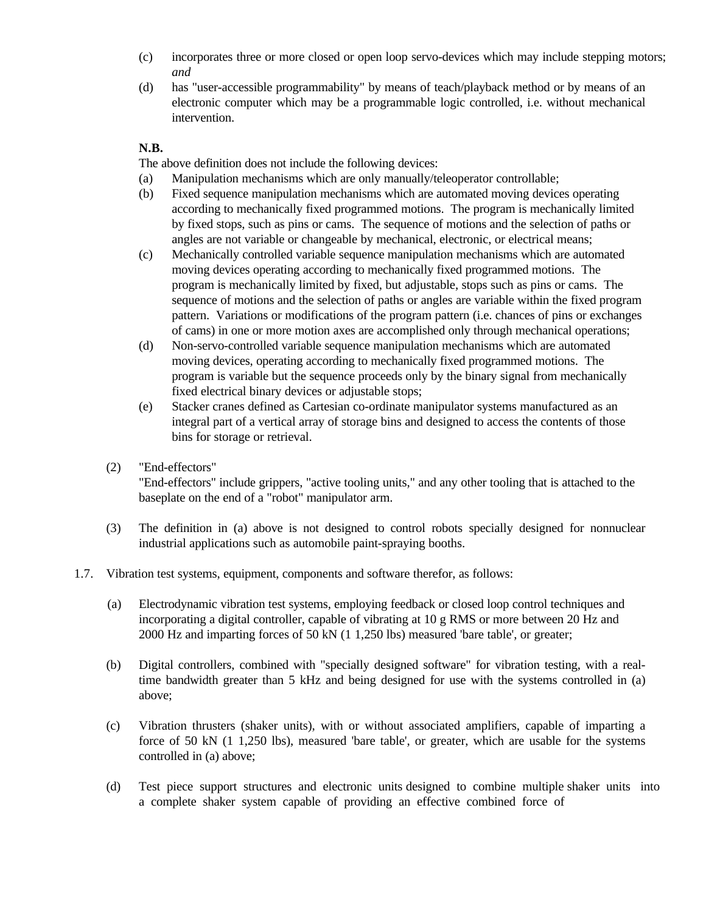- (c) incorporates three or more closed or open loop servo-devices which may include stepping motors; *and*
- (d) has "user-accessible programmability" by means of teach/playback method or by means of an electronic computer which may be a programmable logic controlled, i.e. without mechanical intervention.

### **N.B.**

The above definition does not include the following devices:

- (a) Manipulation mechanisms which are only manually/teleoperator controllable;
- (b) Fixed sequence manipulation mechanisms which are automated moving devices operating according to mechanically fixed programmed motions. The program is mechanically limited by fixed stops, such as pins or cams. The sequence of motions and the selection of paths or angles are not variable or changeable by mechanical, electronic, or electrical means;
- (c) Mechanically controlled variable sequence manipulation mechanisms which are automated moving devices operating according to mechanically fixed programmed motions. The program is mechanically limited by fixed, but adjustable, stops such as pins or cams. The sequence of motions and the selection of paths or angles are variable within the fixed program pattern. Variations or modifications of the program pattern (i.e. chances of pins or exchanges of cams) in one or more motion axes are accomplished only through mechanical operations;
- (d) Non-servo-controlled variable sequence manipulation mechanisms which are automated moving devices, operating according to mechanically fixed programmed motions. The program is variable but the sequence proceeds only by the binary signal from mechanically fixed electrical binary devices or adjustable stops;
- (e) Stacker cranes defined as Cartesian co-ordinate manipulator systems manufactured as an integral part of a vertical array of storage bins and designed to access the contents of those bins for storage or retrieval.
- (2) "End-effectors"

"End-effectors" include grippers, "active tooling units," and any other tooling that is attached to the baseplate on the end of a "robot" manipulator arm.

- (3) The definition in (a) above is not designed to control robots specially designed for nonnuclear industrial applications such as automobile paint-spraying booths.
- 1.7. Vibration test systems, equipment, components and software therefor, as follows:
	- (a) Electrodynamic vibration test systems, employing feedback or closed loop control techniques and incorporating a digital controller, capable of vibrating at 10 g RMS or more between 20 Hz and 2000 Hz and imparting forces of 50 kN (1 1,250 lbs) measured 'bare table', or greater;
	- (b) Digital controllers, combined with "specially designed software" for vibration testing, with a realtime bandwidth greater than 5 kHz and being designed for use with the systems controlled in (a) above;
	- (c) Vibration thrusters (shaker units), with or without associated amplifiers, capable of imparting a force of 50 kN (1 1,250 lbs), measured 'bare table', or greater, which are usable for the systems controlled in (a) above;
	- (d) Test piece support structures and electronic units designed to combine multiple shaker units into a complete shaker system capable of providing an effective combined force of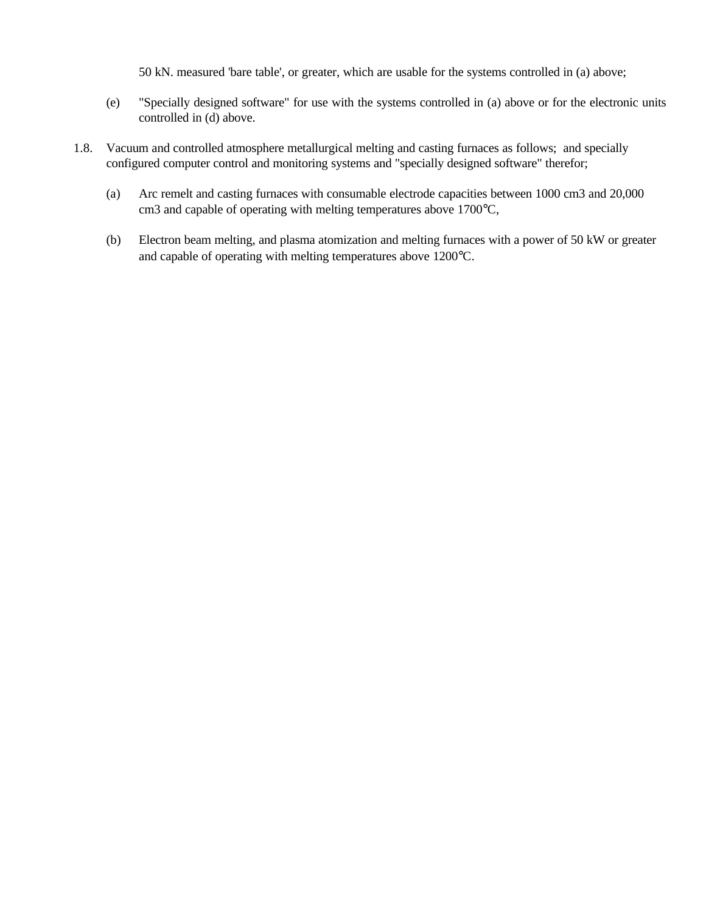50 kN. measured 'bare table', or greater, which are usable for the systems controlled in (a) above;

- (e) "Specially designed software" for use with the systems controlled in (a) above or for the electronic units controlled in (d) above.
- 1.8. Vacuum and controlled atmosphere metallurgical melting and casting furnaces as follows; and specially configured computer control and monitoring systems and "specially designed software" therefor;
	- (a) Arc remelt and casting furnaces with consumable electrode capacities between 1000 cm3 and 20,000 cm3 and capable of operating with melting temperatures above 1700°C,
	- (b) Electron beam melting, and plasma atomization and melting furnaces with a power of 50 kW or greater and capable of operating with melting temperatures above 1200°C.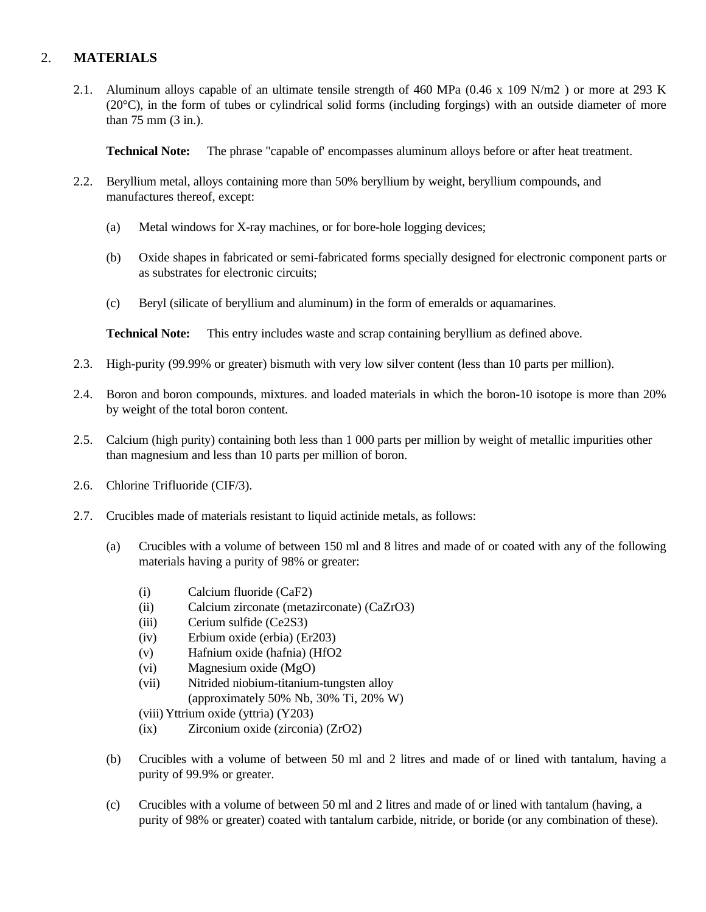## 2. **MATERIALS**

2.1. Aluminum alloys capable of an ultimate tensile strength of 460 MPa (0.46 x 109 N/m2 ) or more at 293 K (20°C), in the form of tubes or cylindrical solid forms (including forgings) with an outside diameter of more than 75 mm (3 in.).

**Technical Note:** The phrase "capable of' encompasses aluminum alloys before or after heat treatment.

- 2.2. Beryllium metal, alloys containing more than 50% beryllium by weight, beryllium compounds, and manufactures thereof, except:
	- (a) Metal windows for X-ray machines, or for bore-hole logging devices;
	- (b) Oxide shapes in fabricated or semi-fabricated forms specially designed for electronic component parts or as substrates for electronic circuits;
	- (c) Beryl (silicate of beryllium and aluminum) in the form of emeralds or aquamarines.

**Technical Note:** This entry includes waste and scrap containing beryllium as defined above.

- 2.3. High-purity (99.99% or greater) bismuth with very low silver content (less than 10 parts per million).
- 2.4. Boron and boron compounds, mixtures. and loaded materials in which the boron-10 isotope is more than 20% by weight of the total boron content.
- 2.5. Calcium (high purity) containing both less than 1 000 parts per million by weight of metallic impurities other than magnesium and less than 10 parts per million of boron.
- 2.6. Chlorine Trifluoride (CIF/3).
- 2.7. Crucibles made of materials resistant to liquid actinide metals, as follows:
	- (a) Crucibles with a volume of between 150 ml and 8 litres and made of or coated with any of the following materials having a purity of 98% or greater:
		- (i) Calcium fluoride (CaF2)
		- (ii) Calcium zirconate (metazirconate) (CaZrO3)
		- (iii) Cerium sulfide (Ce2S3)
		- (iv) Erbium oxide (erbia) (Er203)
		- (v) Hafnium oxide (hafnia) (HfO2
		- (vi) Magnesium oxide (MgO)
		- (vii) Nitrided niobium-titanium-tungsten alloy (approximately 50% Nb, 30% Ti, 20% W)
		- (viii) Yttrium oxide (yttria) (Y203)
		- (ix) Zirconium oxide (zirconia) (ZrO2)
	- (b) Crucibles with a volume of between 50 ml and 2 litres and made of or lined with tantalum, having a purity of 99.9% or greater.
	- (c) Crucibles with a volume of between 50 ml and 2 litres and made of or lined with tantalum (having, a purity of 98% or greater) coated with tantalum carbide, nitride, or boride (or any combination of these).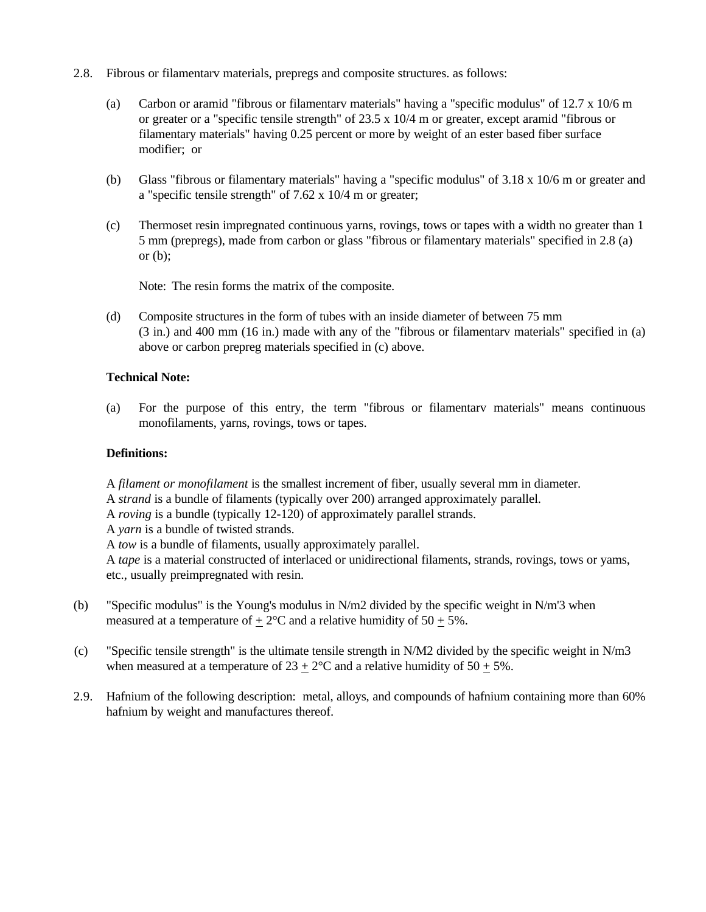- 2.8. Fibrous or filamentarv materials, prepregs and composite structures. as follows:
	- (a) Carbon or aramid "fibrous or filamentarv materials" having a "specific modulus" of 12.7 x 10/6 m or greater or a "specific tensile strength" of 23.5 x 10/4 m or greater, except aramid "fibrous or filamentary materials" having 0.25 percent or more by weight of an ester based fiber surface modifier; or
	- (b) Glass "fibrous or filamentary materials" having a "specific modulus" of 3.18 x 10/6 m or greater and a "specific tensile strength" of 7.62 x 10/4 m or greater;
	- (c) Thermoset resin impregnated continuous yarns, rovings, tows or tapes with a width no greater than 1 5 mm (prepregs), made from carbon or glass "fibrous or filamentary materials" specified in 2.8 (a) or  $(b)$ :

Note: The resin forms the matrix of the composite.

(d) Composite structures in the form of tubes with an inside diameter of between 75 mm (3 in.) and 400 mm (16 in.) made with any of the "fibrous or filamentarv materials" specified in (a) above or carbon prepreg materials specified in (c) above.

#### **Technical Note:**

(a) For the purpose of this entry, the term "fibrous or filamentarv materials" means continuous monofilaments, yarns, rovings, tows or tapes.

#### **Definitions:**

A *filament or monofilament* is the smallest increment of fiber, usually several mm in diameter. A *strand* is a bundle of filaments (typically over 200) arranged approximately parallel.

A *roving* is a bundle (typically 12-120) of approximately parallel strands.

A *yarn* is a bundle of twisted strands.

A *tow* is a bundle of filaments, usually approximately parallel.

A *tape* is a material constructed of interlaced or unidirectional filaments, strands, rovings, tows or yams, etc., usually preimpregnated with resin.

- (b) "Specific modulus" is the Young's modulus in N/m2 divided by the specific weight in N/m'3 when measured at a temperature of  $\pm 2^{\circ}\text{C}$  and a relative humidity of 50  $\pm$  5%.
- (c) "Specific tensile strength" is the ultimate tensile strength in N/M2 divided by the specific weight in N/m3 when measured at a temperature of  $23 + 2^{\circ}C$  and a relative humidity of  $50 + 5\%$ .
- 2.9. Hafnium of the following description: metal, alloys, and compounds of hafnium containing more than 60% hafnium by weight and manufactures thereof.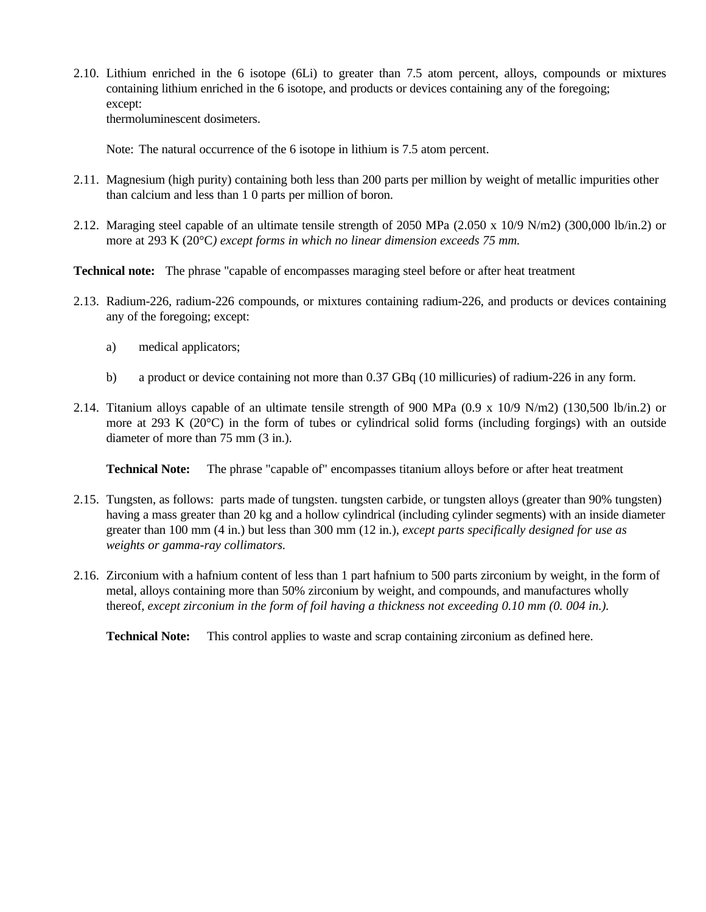2.10. Lithium enriched in the 6 isotope (6Li) to greater than 7.5 atom percent, alloys, compounds or mixtures containing lithium enriched in the 6 isotope, and products or devices containing any of the foregoing; except:

thermoluminescent dosimeters.

Note: The natural occurrence of the 6 isotope in lithium is 7.5 atom percent.

- 2.11. Magnesium (high purity) containing both less than 200 parts per million by weight of metallic impurities other than calcium and less than 1 0 parts per million of boron.
- 2.12. Maraging steel capable of an ultimate tensile strength of 2050 MPa  $(2.050 \times 10/9 \text{ N/m2})$  (300,000 lb/in.2) or more at 293 K (20°C*) except forms in which no linear dimension exceeds 75 mm.*

**Technical note:** The phrase "capable of encompasses maraging steel before or after heat treatment

- 2.13. Radium-226, radium-226 compounds, or mixtures containing radium-226, and products or devices containing any of the foregoing; except:
	- a) medical applicators;
	- b) a product or device containing not more than 0.37 GBq (10 millicuries) of radium-226 in any form.
- 2.14. Titanium alloys capable of an ultimate tensile strength of 900 MPa (0.9 x 10/9 N/m2) (130,500 lb/in.2) or more at 293 K (20°C) in the form of tubes or cylindrical solid forms (including forgings) with an outside diameter of more than 75 mm (3 in.).

**Technical Note:** The phrase "capable of" encompasses titanium alloys before or after heat treatment

- 2.15. Tungsten, as follows: parts made of tungsten. tungsten carbide, or tungsten alloys (greater than 90% tungsten) having a mass greater than 20 kg and a hollow cylindrical (including cylinder segments) with an inside diameter greater than 100 mm (4 in.) but less than 300 mm (12 in.), *except parts specifically designed for use as weights or gamma-ray collimators.*
- 2.16. Zirconium with a hafnium content of less than 1 part hafnium to 500 parts zirconium by weight, in the form of metal, alloys containing more than 50% zirconium by weight, and compounds, and manufactures wholly thereof, *except zirconium in the form of foil having a thickness not exceeding 0.10 mm (0. 004 in.).*

**Technical Note:** This control applies to waste and scrap containing zirconium as defined here.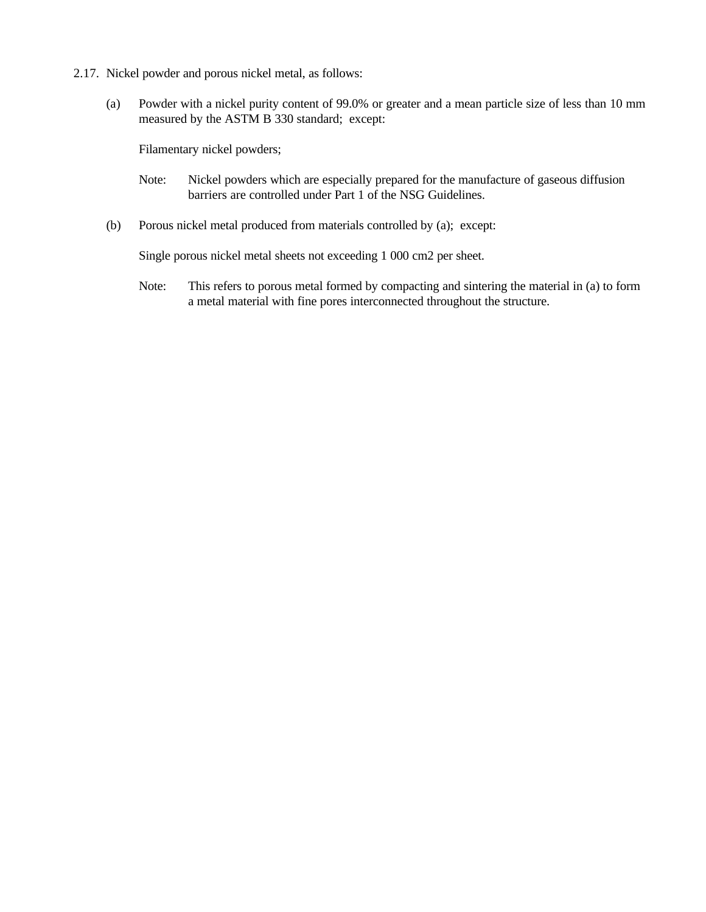- 2.17. Nickel powder and porous nickel metal, as follows:
	- (a) Powder with a nickel purity content of 99.0% or greater and a mean particle size of less than 10 mm measured by the ASTM B 330 standard; except:

Filamentary nickel powders;

- Note: Nickel powders which are especially prepared for the manufacture of gaseous diffusion barriers are controlled under Part 1 of the NSG Guidelines.
- (b) Porous nickel metal produced from materials controlled by (a); except:

Single porous nickel metal sheets not exceeding 1 000 cm2 per sheet.

Note: This refers to porous metal formed by compacting and sintering the material in (a) to form a metal material with fine pores interconnected throughout the structure.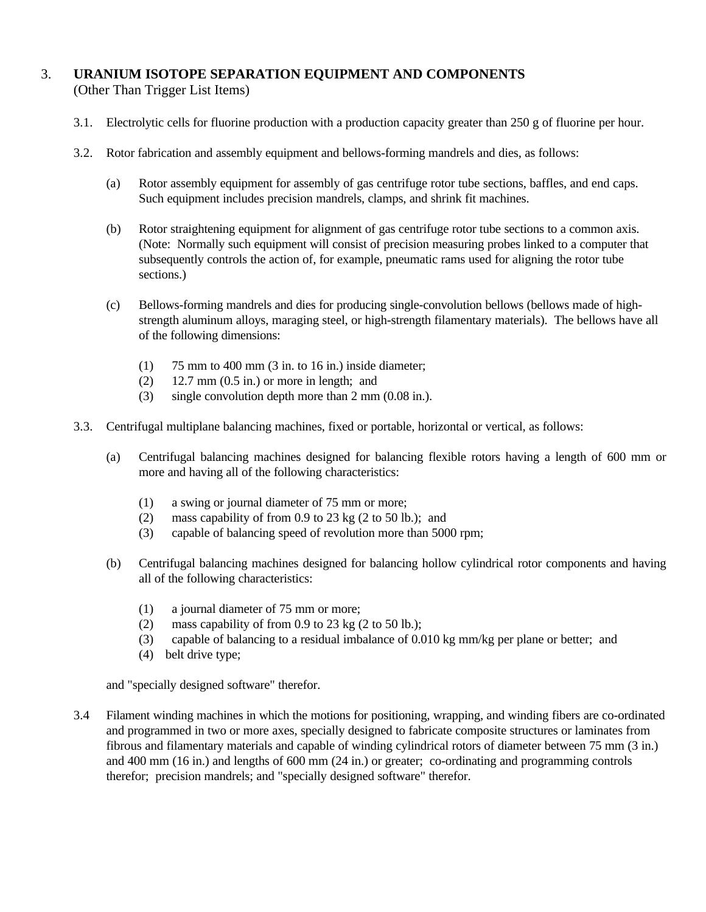## 3. **URANIUM ISOTOPE SEPARATION EQUIPMENT AND COMPONENTS**

(Other Than Trigger List Items)

- 3.1. Electrolytic cells for fluorine production with a production capacity greater than 250 g of fluorine per hour.
- 3.2. Rotor fabrication and assembly equipment and bellows-forming mandrels and dies, as follows:
	- (a) Rotor assembly equipment for assembly of gas centrifuge rotor tube sections, baffles, and end caps. Such equipment includes precision mandrels, clamps, and shrink fit machines.
	- (b) Rotor straightening equipment for alignment of gas centrifuge rotor tube sections to a common axis. (Note: Normally such equipment will consist of precision measuring probes linked to a computer that subsequently controls the action of, for example, pneumatic rams used for aligning the rotor tube sections.)
	- (c) Bellows-forming mandrels and dies for producing single-convolution bellows (bellows made of highstrength aluminum alloys, maraging steel, or high-strength filamentary materials). The bellows have all of the following dimensions:
		- $(1)$  75 mm to 400 mm  $(3 \text{ in. to } 16 \text{ in.})$  inside diameter;
		- $(2)$  12.7 mm  $(0.5 \text{ in.})$  or more in length; and
		- (3) single convolution depth more than 2 mm (0.08 in.).
- 3.3. Centrifugal multiplane balancing machines, fixed or portable, horizontal or vertical, as follows:
	- (a) Centrifugal balancing machines designed for balancing flexible rotors having a length of 600 mm or more and having all of the following characteristics:
		- (1) a swing or journal diameter of 75 mm or more;
		- (2) mass capability of from 0.9 to 23 kg (2 to 50 lb.); and
		- (3) capable of balancing speed of revolution more than 5000 rpm;
	- (b) Centrifugal balancing machines designed for balancing hollow cylindrical rotor components and having all of the following characteristics:
		- (1) a journal diameter of 75 mm or more;
		- (2) mass capability of from 0.9 to 23 kg (2 to 50 lb.);
		- (3) capable of balancing to a residual imbalance of 0.010 kg mm/kg per plane or better; and
		- (4) belt drive type;

and "specially designed software" therefor.

3.4 Filament winding machines in which the motions for positioning, wrapping, and winding fibers are co-ordinated and programmed in two or more axes, specially designed to fabricate composite structures or laminates from fibrous and filamentary materials and capable of winding cylindrical rotors of diameter between 75 mm (3 in.) and 400 mm (16 in.) and lengths of 600 mm (24 in.) or greater; co-ordinating and programming controls therefor; precision mandrels; and "specially designed software" therefor.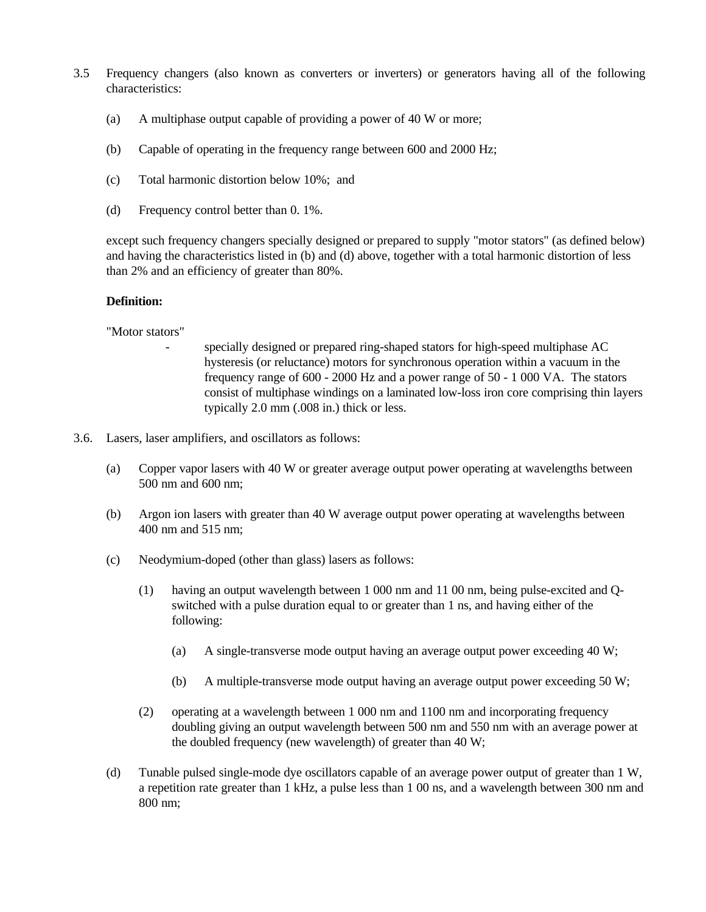- 3.5 Frequency changers (also known as converters or inverters) or generators having all of the following characteristics:
	- (a) A multiphase output capable of providing a power of 40 W or more;
	- (b) Capable of operating in the frequency range between 600 and 2000 Hz;
	- (c) Total harmonic distortion below 10%; and
	- (d) Frequency control better than 0. 1%.

except such frequency changers specially designed or prepared to supply "motor stators" (as defined below) and having the characteristics listed in (b) and (d) above, together with a total harmonic distortion of less than 2% and an efficiency of greater than 80%.

#### **Definition:**

"Motor stators"

specially designed or prepared ring-shaped stators for high-speed multiphase AC hysteresis (or reluctance) motors for synchronous operation within a vacuum in the frequency range of 600 - 2000 Hz and a power range of 50 *-* 1 000 VA. The stators consist of multiphase windings on a laminated low-loss iron core comprising thin layers typically 2.0 mm (.008 in.) thick or less.

- 3.6. Lasers, laser amplifiers, and oscillators as follows:
	- (a) Copper vapor lasers with 40 W or greater average output power operating at wavelengths between 500 nm and 600 nm;
	- (b) Argon ion lasers with greater than 40 W average output power operating at wavelengths between 400 nm and 515 nm;
	- (c) Neodymium-doped (other than glass) lasers as follows:
		- (1) having an output wavelength between 1 000 nm and 11 00 nm, being pulse-excited and Qswitched with a pulse duration equal to or greater than 1 ns, and having either of the following:
			- (a) A single-transverse mode output having an average output power exceeding 40 W;
			- (b) A multiple-transverse mode output having an average output power exceeding 50 W;
		- (2) operating at a wavelength between 1 000 nm and 1100 nm and incorporating frequency doubling giving an output wavelength between 500 nm and 550 nm with an average power at the doubled frequency (new wavelength) of greater than 40 W;
	- (d) Tunable pulsed single-mode dye oscillators capable of an average power output of greater than 1 W, a repetition rate greater than 1 kHz, a pulse less than 1 00 ns, and a wavelength between 300 nm and 800 nm;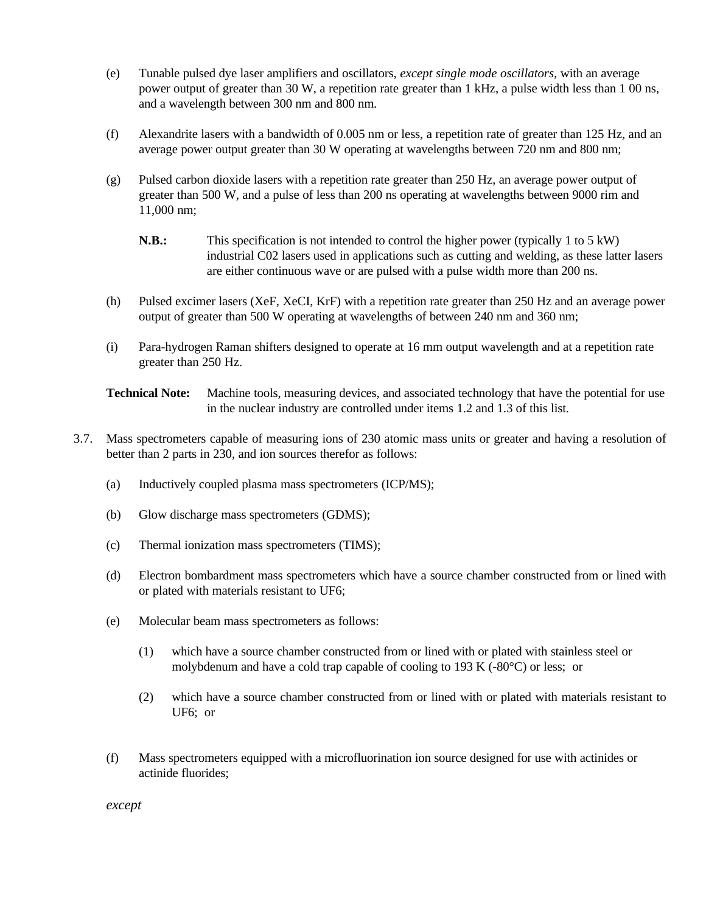- (e) Tunable pulsed dye laser amplifiers and oscillators, *except single mode oscillators,* with an average power output of greater than 30 W, a repetition rate greater than 1 kHz, a pulse width less than 1 00 ns, and a wavelength between 300 nm and 800 nm.
- (f) Alexandrite lasers with a bandwidth of 0.005 nm or less, a repetition rate of greater than 125 Hz, and an average power output greater than 30 W operating at wavelengths between 720 nm and 800 nm;
- (g) Pulsed carbon dioxide lasers with a repetition rate greater than 250 Hz, an average power output of greater than 500 W, and a pulse of less than 200 ns operating at wavelengths between 9000 rim and 11,000 nm;
	- **N.B.:** This specification is not intended to control the higher power (typically 1 to 5 kW) industrial C02 lasers used in applications such as cutting and welding, as these latter lasers are either continuous wave or are pulsed with a pulse width more than 200 ns.
- (h) Pulsed excimer lasers (XeF, XeCI, KrF) with a repetition rate greater than 250 Hz and an average power output of greater than 500 W operating at wavelengths of between 240 nm and 360 nm;
- (i) Para-hydrogen Raman shifters designed to operate at 16 mm output wavelength and at a repetition rate greater than 250 Hz.

**Technical Note:** Machine tools, measuring devices, and associated technology that have the potential for use in the nuclear industry are controlled under items 1.2 and 1.3 of this list.

- 3.7. Mass spectrometers capable of measuring ions of 230 atomic mass units or greater and having a resolution of better than 2 parts in 230, and ion sources therefor as follows:
	- (a) Inductively coupled plasma mass spectrometers (ICP/MS);
	- (b) Glow discharge mass spectrometers (GDMS);
	- (c) Thermal ionization mass spectrometers (TIMS);
	- (d) Electron bombardment mass spectrometers which have a source chamber constructed from or lined with or plated with materials resistant to UF6;
	- (e) Molecular beam mass spectrometers as follows:
		- (1) which have a source chamber constructed from or lined with or plated with stainless steel or molybdenum and have a cold trap capable of cooling to 193 K (-80°C) or less; or
		- (2) which have a source chamber constructed from or lined with or plated with materials resistant to UF6; or
	- (f) Mass spectrometers equipped with a microfluorination ion source designed for use with actinides or actinide fluorides;

*except*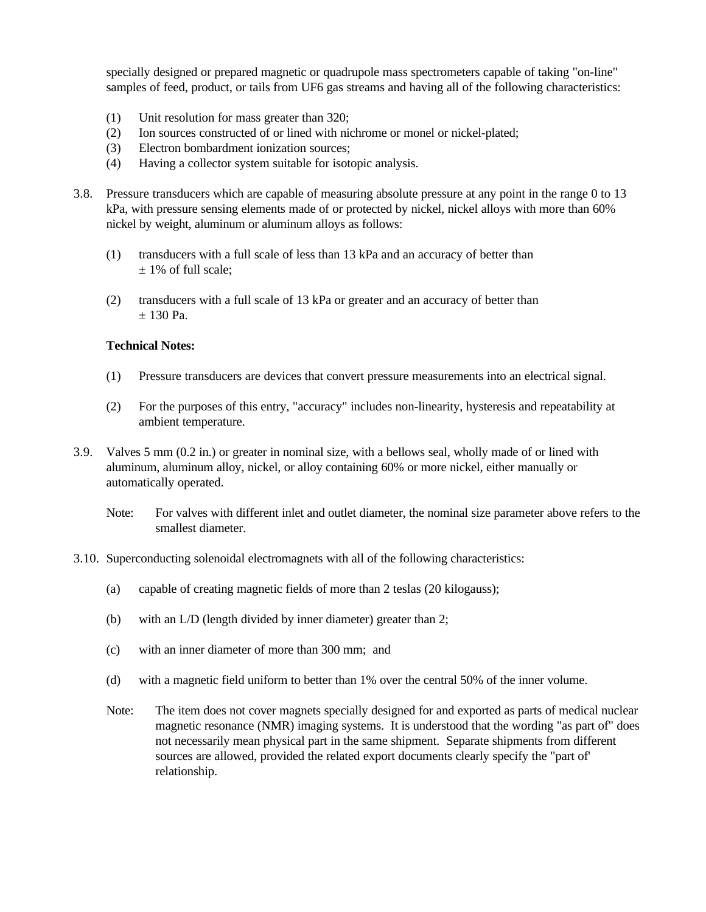specially designed or prepared magnetic or quadrupole mass spectrometers capable of taking "on-line" samples of feed, product, or tails from UF6 gas streams and having all of the following characteristics:

- (1) Unit resolution for mass greater than 320;
- (2) Ion sources constructed of or lined with nichrome or monel or nickel-plated;
- (3) Electron bombardment ionization sources;
- (4) Having a collector system suitable for isotopic analysis.
- 3.8. Pressure transducers which are capable of measuring absolute pressure at any point in the range 0 to 13 kPa, with pressure sensing elements made of or protected by nickel, nickel alloys with more than 60% nickel by weight, aluminum or aluminum alloys as follows:
	- (1) transducers with a full scale of less than 13 kPa and an accuracy of better than  $\pm$  1% of full scale:
	- (2) transducers with a full scale of 13 kPa or greater and an accuracy of better than  $± 130$  Pa.

#### **Technical Notes:**

- (1) Pressure transducers are devices that convert pressure measurements into an electrical signal.
- (2) For the purposes of this entry, "accuracy" includes non-linearity, hysteresis and repeatability at ambient temperature.
- 3.9. Valves 5 mm (0.2 in.) or greater in nominal size, with a bellows seal, wholly made of or lined with aluminum, aluminum alloy, nickel, or alloy containing 60% or more nickel, either manually or automatically operated.
	- Note: For valves with different inlet and outlet diameter, the nominal size parameter above refers to the smallest diameter.
- 3.10. Superconducting solenoidal electromagnets with all of the following characteristics:
	- (a) capable of creating magnetic fields of more than 2 teslas (20 kilogauss);
	- (b) with an L/D (length divided by inner diameter) greater than 2;
	- (c) with an inner diameter of more than 300 mm; and
	- (d) with a magnetic field uniform to better than 1% over the central 50% of the inner volume.
	- Note: The item does not cover magnets specially designed for and exported as parts of medical nuclear magnetic resonance (NMR) imaging systems. It is understood that the wording "as part of" does not necessarily mean physical part in the same shipment. Separate shipments from different sources are allowed, provided the related export documents clearly specify the "part of' relationship.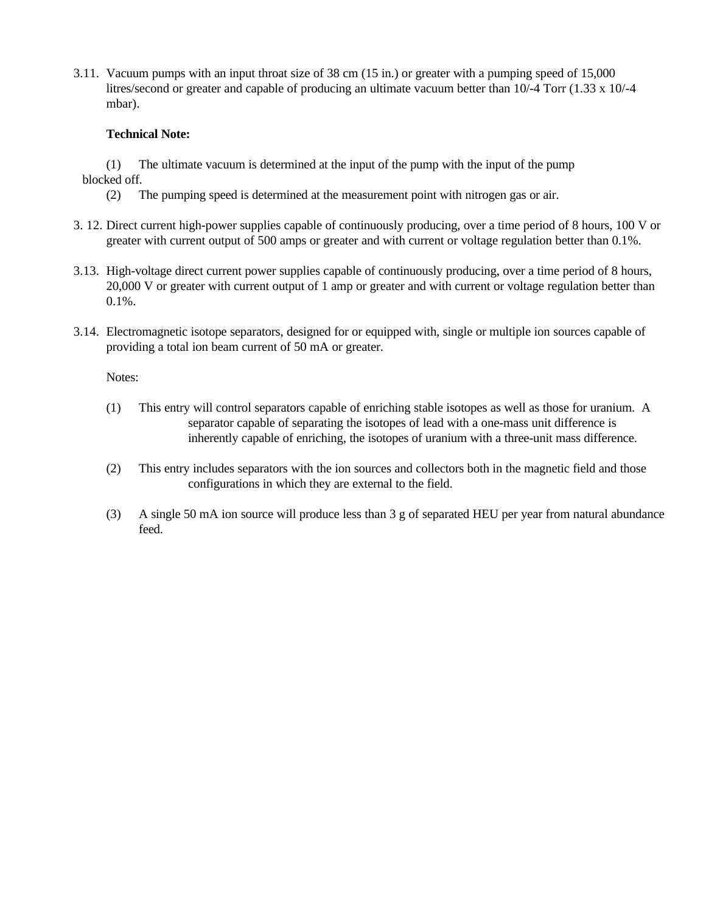3.11. Vacuum pumps with an input throat size of 38 cm (15 in.) or greater with a pumping speed of 15,000 litres/second or greater and capable of producing an ultimate vacuum better than 10/-4 Torr (1.33 x 10/-4 mbar).

### **Technical Note:**

(1) The ultimate vacuum is determined at the input of the pump with the input of the pump blocked off.

- (2) The pumping speed is determined at the measurement point with nitrogen gas or air.
- 3. 12. Direct current high-power supplies capable of continuously producing, over a time period of 8 hours, 100 V or greater with current output of 500 amps or greater and with current or voltage regulation better than 0.1%.
- 3.13. High-voltage direct current power supplies capable of continuously producing, over a time period of 8 hours, 20,000 V or greater with current output of 1 amp or greater and with current or voltage regulation better than 0.1%.
- 3.14. Electromagnetic isotope separators, designed for or equipped with, single or multiple ion sources capable of providing a total ion beam current of 50 mA or greater.

Notes:

- (1) This entry will control separators capable of enriching stable isotopes as well as those for uranium. A separator capable of separating the isotopes of lead with a one-mass unit difference is inherently capable of enriching, the isotopes of uranium with a three-unit mass difference.
- (2) This entry includes separators with the ion sources and collectors both in the magnetic field and those configurations in which they are external to the field.
- (3) A single 50 mA ion source will produce less than 3 g of separated HEU per year from natural abundance feed.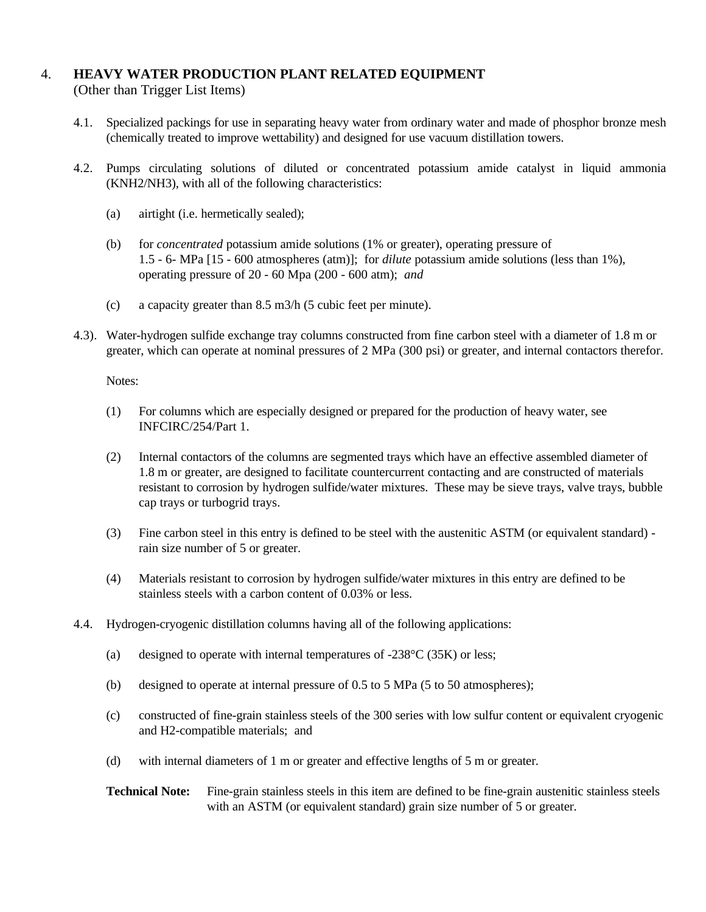## 4. **HEAVY WATER PRODUCTION PLANT RELATED EQUIPMENT**

(Other than Trigger List Items)

- 4.1. Specialized packings for use in separating heavy water from ordinary water and made of phosphor bronze mesh (chemically treated to improve wettability) and designed for use vacuum distillation towers.
- 4.2. Pumps circulating solutions of diluted or concentrated potassium amide catalyst in liquid ammonia (KNH2/NH3), with all of the following characteristics:
	- (a) airtight (i.e. hermetically sealed);
	- (b) for *concentrated* potassium amide solutions (1% or greater), operating pressure of 1.5 - 6- MPa [15 - 600 atmospheres (atm)]; for *dilute* potassium amide solutions (less than 1%), operating pressure of 20 - 60 Mpa (200 - 600 atm); *and*
	- (c) a capacity greater than 8.5 m3/h (5 cubic feet per minute).
- 4.3). Water-hydrogen sulfide exchange tray columns constructed from fine carbon steel with a diameter of 1.8 m or greater, which can operate at nominal pressures of 2 MPa (300 psi) or greater, and internal contactors therefor.

Notes:

- (1) For columns which are especially designed or prepared for the production of heavy water, see INFCIRC/254/Part 1.
- (2) Internal contactors of the columns are segmented trays which have an effective assembled diameter of 1.8 m or greater, are designed to facilitate countercurrent contacting and are constructed of materials resistant to corrosion by hydrogen sulfide/water mixtures. These may be sieve trays, valve trays, bubble cap trays or turbogrid trays.
- (3) Fine carbon steel in this entry is defined to be steel with the austenitic ASTM (or equivalent standard) rain size number of 5 or greater.
- (4) Materials resistant to corrosion by hydrogen sulfide/water mixtures in this entry are defined to be stainless steels with a carbon content of 0.03% or less.
- 4.4. Hydrogen-cryogenic distillation columns having all of the following applications:
	- (a) designed to operate with internal temperatures of  $-238^{\circ}C(35K)$  or less;
	- (b) designed to operate at internal pressure of 0.5 to 5 MPa (5 to 50 atmospheres);
	- (c) constructed of fine-grain stainless steels of the 300 series with low sulfur content or equivalent cryogenic and H2-compatible materials; and
	- (d) with internal diameters of 1 m or greater and effective lengths of 5 m or greater.

### **Technical Note:** Fine-grain stainless steels in this item are defined to be fine-grain austenitic stainless steels with an ASTM (or equivalent standard) grain size number of 5 or greater.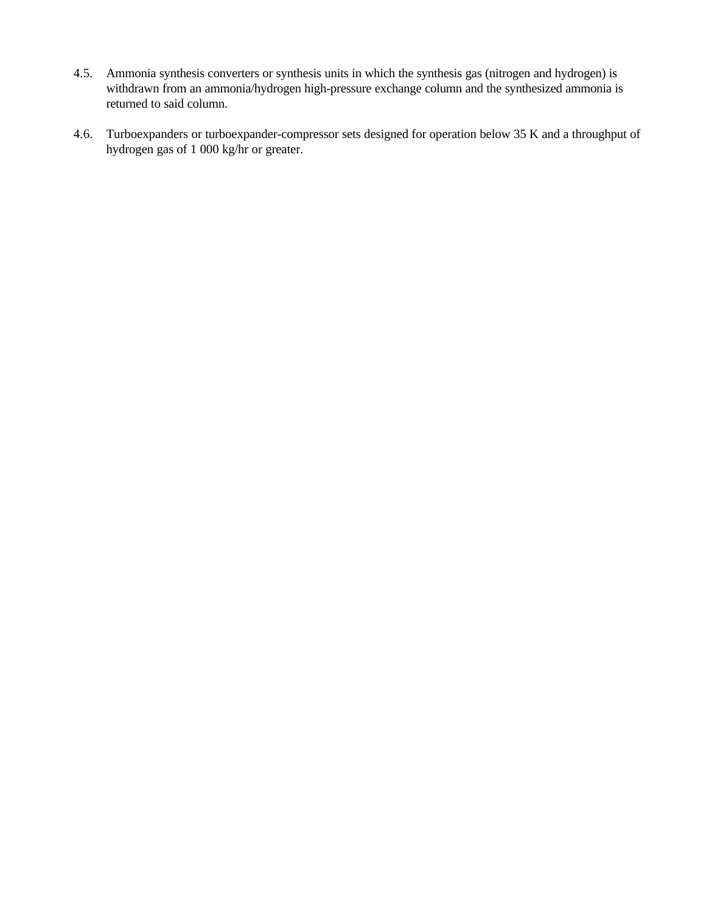- 4.5. Ammonia synthesis converters or synthesis units in which the synthesis gas (nitrogen and hydrogen) is withdrawn from an ammonia/hydrogen high-pressure exchange column and the synthesized ammonia is returned to said column.
- 4.6. Turboexpanders or turboexpander-compressor sets designed for operation below 35 K and a throughput of hydrogen gas of 1 000 kg/hr or greater.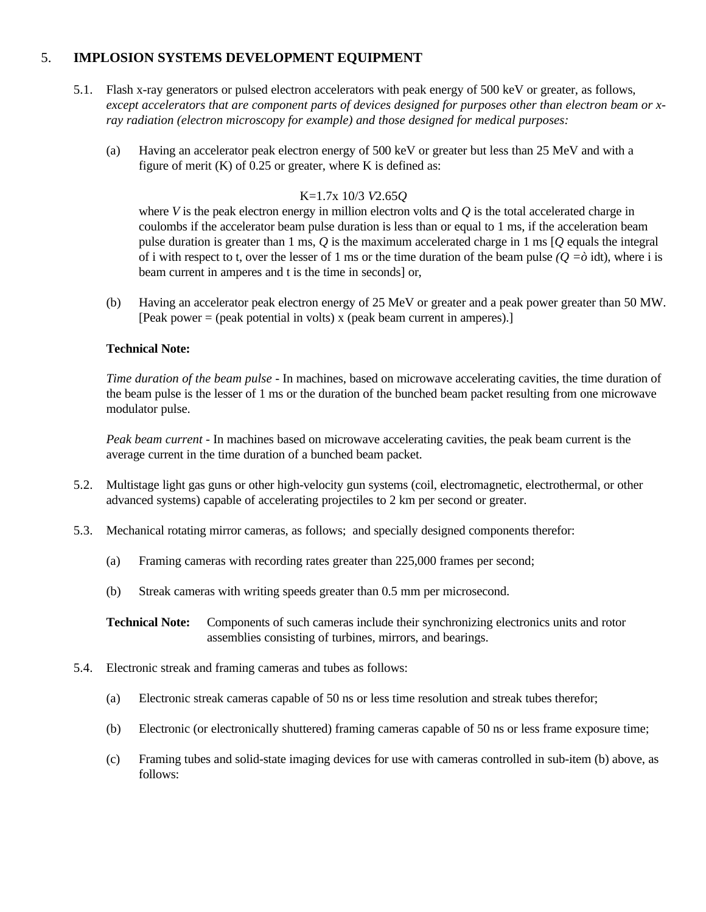## 5. **IMPLOSION SYSTEMS DEVELOPMENT EQUIPMENT**

- 5.1. Flash x-ray generators or pulsed electron accelerators with peak energy of 500 keV or greater, as follows, *except accelerators that are component parts of devices designed for purposes other than electron beam or xray radiation (electron microscopy for example) and those designed for medical purposes:*
	- (a) Having an accelerator peak electron energy of 500 keV or greater but less than 25 MeV and with a figure of merit  $(K)$  of 0.25 or greater, where K is defined as:

### K=1.7x 10/3 *V*2.65*Q*

where *V* is the peak electron energy in million electron volts and *Q* is the total accelerated charge in coulombs if the accelerator beam pulse duration is less than or equal to 1 ms, if the acceleration beam pulse duration is greater than 1 ms, *Q* is the maximum accelerated charge in 1 ms [*Q* equals the integral of i with respect to t, over the lesser of 1 ms or the time duration of the beam pulse  $(Q = \delta \text{ idt})$ , where i is beam current in amperes and t is the time in seconds] or,

(b) Having an accelerator peak electron energy of 25 MeV or greater and a peak power greater than 50 MW.  $[Peak power = (peak potential in volts) x (peak beam current in amperes).]$ 

#### **Technical Note:**

*Time duration of the beam pulse* - In machines, based on microwave accelerating cavities, the time duration of the beam pulse is the lesser of 1 ms or the duration of the bunched beam packet resulting from one microwave modulator pulse.

*Peak beam current* - In machines based on microwave accelerating cavities, the peak beam current is the average current in the time duration of a bunched beam packet.

- 5.2. Multistage light gas guns or other high-velocity gun systems (coil, electromagnetic, electrothermal, or other advanced systems) capable of accelerating projectiles to 2 km per second or greater.
- 5.3. Mechanical rotating mirror cameras, as follows; and specially designed components therefor:
	- (a) Framing cameras with recording rates greater than 225,000 frames per second;
	- (b) Streak cameras with writing speeds greater than 0.5 mm per microsecond.

**Technical Note:** Components of such cameras include their synchronizing electronics units and rotor assemblies consisting of turbines, mirrors, and bearings.

- 5.4. Electronic streak and framing cameras and tubes as follows:
	- (a) Electronic streak cameras capable of 50 ns or less time resolution and streak tubes therefor;
	- (b) Electronic (or electronically shuttered) framing cameras capable of 50 ns or less frame exposure time;
	- (c) Framing tubes and solid-state imaging devices for use with cameras controlled in sub-item (b) above, as follows: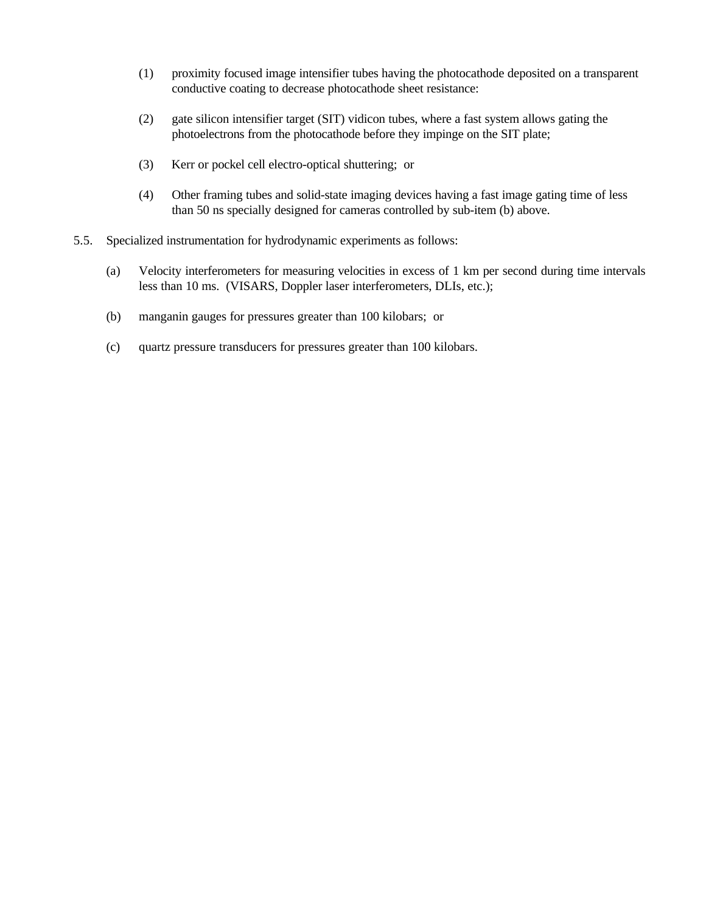- (1) proximity focused image intensifier tubes having the photocathode deposited on a transparent conductive coating to decrease photocathode sheet resistance:
- (2) gate silicon intensifier target (SIT) vidicon tubes, where a fast system allows gating the photoelectrons from the photocathode before they impinge on the SIT plate;
- (3) Kerr or pockel cell electro-optical shuttering; or
- (4) Other framing tubes and solid-state imaging devices having a fast image gating time of less than 50 ns specially designed for cameras controlled by sub-item (b) above.
- 5.5. Specialized instrumentation for hydrodynamic experiments as follows:
	- (a) Velocity interferometers for measuring velocities in excess of 1 km per second during time intervals less than 10 ms. (VISARS, Doppler laser interferometers, DLIs, etc.);
	- (b) manganin gauges for pressures greater than 100 kilobars; or
	- (c) quartz pressure transducers for pressures greater than 100 kilobars.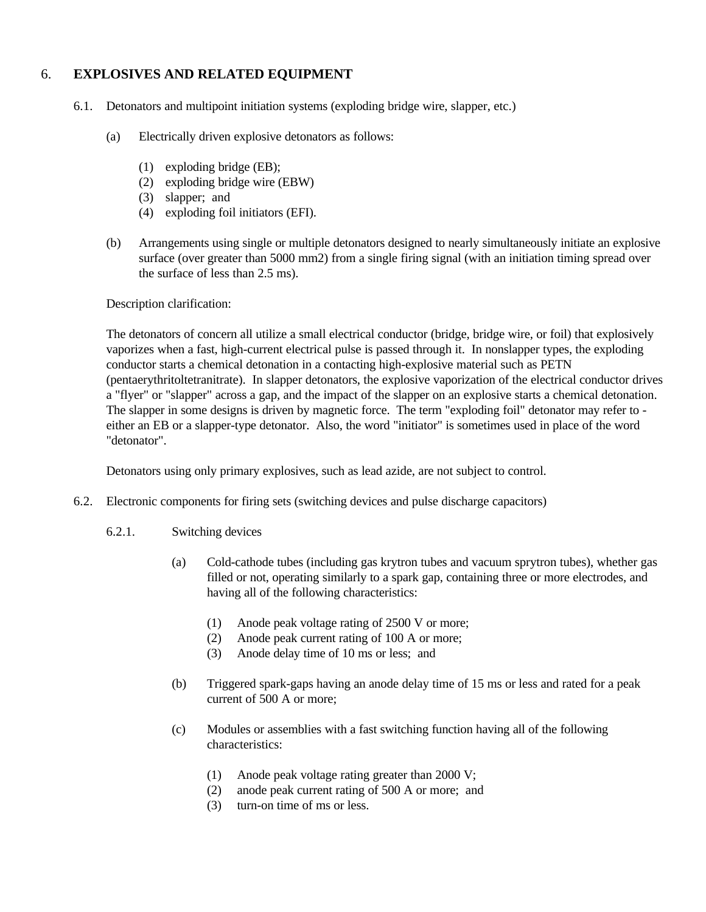## 6. **EXPLOSIVES AND RELATED EQUIPMENT**

- 6.1. Detonators and multipoint initiation systems (exploding bridge wire, slapper, etc.)
	- (a) Electrically driven explosive detonators as follows:
		- (1) exploding bridge (EB);
		- (2) exploding bridge wire (EBW)
		- (3) slapper; and
		- (4) exploding foil initiators (EFI).
	- (b) Arrangements using single or multiple detonators designed to nearly simultaneously initiate an explosive surface (over greater than 5000 mm2) from a single firing signal (with an initiation timing spread over the surface of less than 2.5 ms).

Description clarification:

The detonators of concern all utilize a small electrical conductor (bridge, bridge wire, or foil) that explosively vaporizes when a fast, high-current electrical pulse is passed through it. In nonslapper types, the exploding conductor starts a chemical detonation in a contacting high-explosive material such as PETN (pentaerythritoltetranitrate). In slapper detonators, the explosive vaporization of the electrical conductor drives a "flyer" or "slapper" across a gap, and the impact of the slapper on an explosive starts a chemical detonation. The slapper in some designs is driven by magnetic force. The term "exploding foil" detonator may refer to either an EB or a slapper-type detonator. Also, the word "initiator" is sometimes used in place of the word "detonator".

Detonators using only primary explosives, such as lead azide, are not subject to control.

- 6.2. Electronic components for firing sets (switching devices and pulse discharge capacitors)
	- 6.2.1. Switching devices
		- (a) Cold-cathode tubes (including gas krytron tubes and vacuum sprytron tubes), whether gas filled or not, operating similarly to a spark gap, containing three or more electrodes, and having all of the following characteristics:
			- (1) Anode peak voltage rating of 2500 V or more;
			- (2) Anode peak current rating of 100 A or more;
			- (3) Anode delay time of 10 ms or less; and
		- (b) Triggered spark-gaps having an anode delay time of 15 ms or less and rated for a peak current of 500 A or more;
		- (c) Modules or assemblies with a fast switching function having all of the following characteristics:
			- (1) Anode peak voltage rating greater than 2000 V;
			- (2) anode peak current rating of 500 A or more; and
			- (3) turn-on time of ms or less.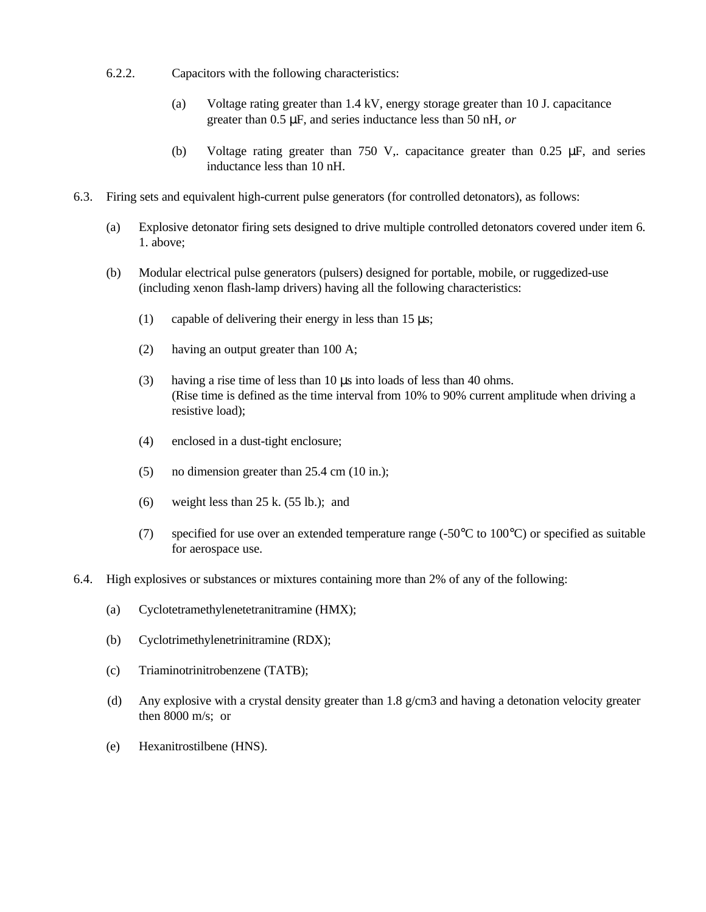- 6.2.2. Capacitors with the following characteristics:
	- (a) Voltage rating greater than 1.4 kV, energy storage greater than 10 J. capacitance greater than 0.5 μF, and series inductance less than 50 nH, *or*
	- (b) Voltage rating greater than 750 V,. capacitance greater than 0.25 μF, and series inductance less than 10 nH.
- 6.3. Firing sets and equivalent high-current pulse generators (for controlled detonators), as follows:
	- (a) Explosive detonator firing sets designed to drive multiple controlled detonators covered under item 6. 1. above;
	- (b) Modular electrical pulse generators (pulsers) designed for portable, mobile, or ruggedized-use (including xenon flash-lamp drivers) having all the following characteristics:
		- (1) capable of delivering their energy in less than 15 μs;
		- (2) having an output greater than 100 A;
		- (3) having a rise time of less than 10 μs into loads of less than 40 ohms. (Rise time is defined as the time interval from 10% to 90% current amplitude when driving a resistive load);
		- (4) enclosed in a dust-tight enclosure;
		- (5) no dimension greater than 25.4 cm (10 in.);
		- (6) weight less than  $25$  k. (55 lb.); and
		- (7) specified for use over an extended temperature range (-50 $\degree$ C to 100 $\degree$ C) or specified as suitable for aerospace use.
- 6.4. High explosives or substances or mixtures containing more than 2% of any of the following:
	- (a) Cyclotetramethylenetetranitramine (HMX);
	- (b) Cyclotrimethylenetrinitramine (RDX);
	- (c) Triaminotrinitrobenzene (TATB);
	- (d) Any explosive with a crystal density greater than 1.8 g/cm3 and having a detonation velocity greater then 8000 m/s; or
	- (e) Hexanitrostilbene (HNS).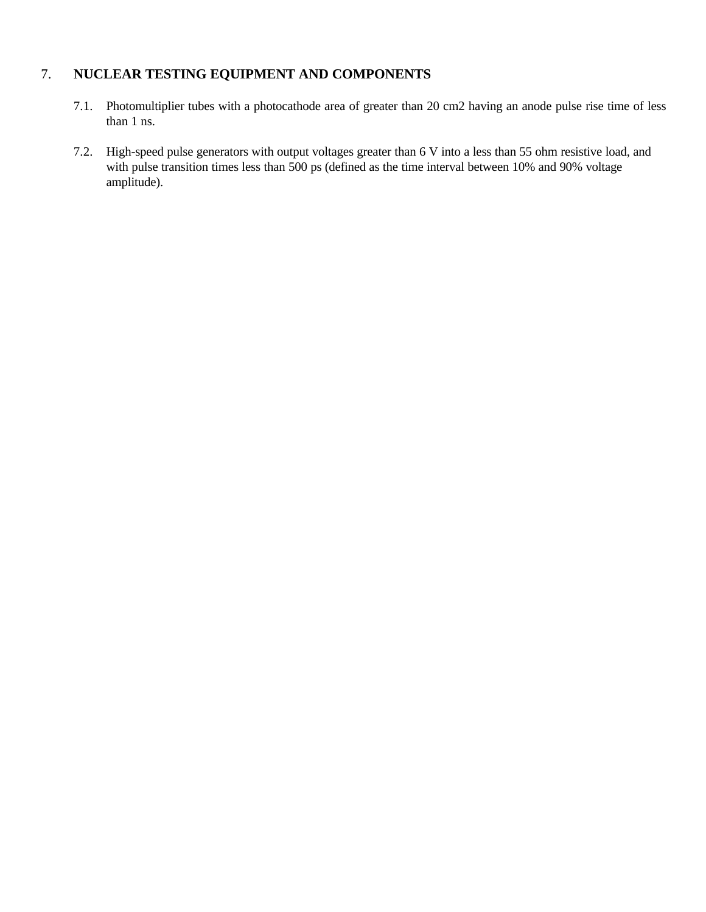## 7. **NUCLEAR TESTING EQUIPMENT AND COMPONENTS**

- 7.1. Photomultiplier tubes with a photocathode area of greater than 20 cm2 having an anode pulse rise time of less than 1 ns.
- 7.2. High-speed pulse generators with output voltages greater than 6 V into a less than 55 ohm resistive load, and with pulse transition times less than 500 ps (defined as the time interval between 10% and 90% voltage amplitude).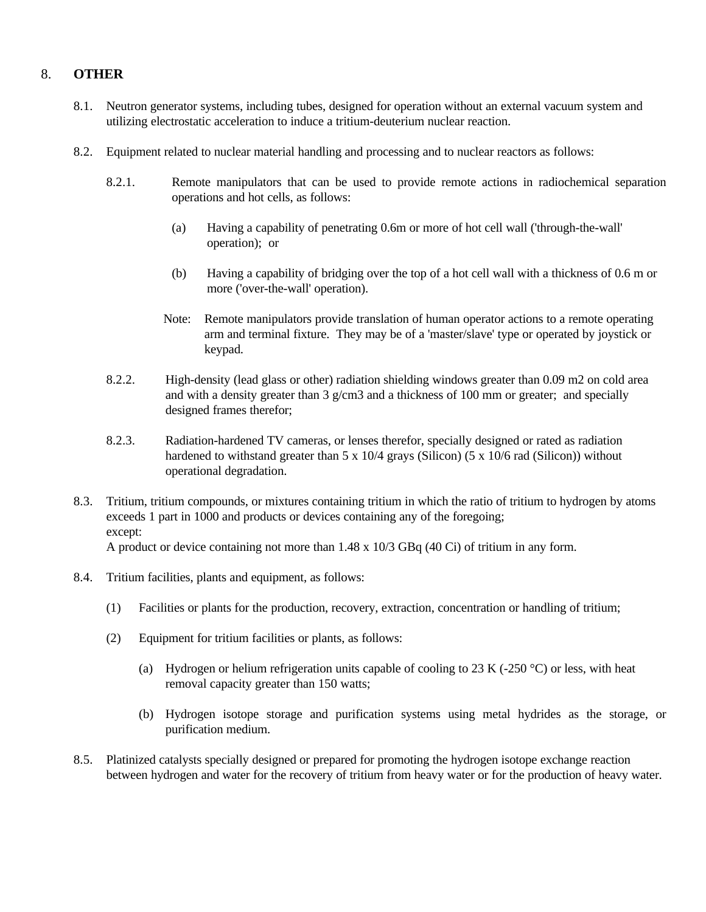## 8. **OTHER**

- 8.1. Neutron generator systems, including tubes, designed for operation without an external vacuum system and utilizing electrostatic acceleration to induce a tritium-deuterium nuclear reaction.
- 8.2. Equipment related to nuclear material handling and processing and to nuclear reactors as follows:
	- 8.2.1. Remote manipulators that can be used to provide remote actions in radiochemical separation operations and hot cells, as follows:
		- (a) Having a capability of penetrating 0.6m or more of hot cell wall ('through-the-wall' operation); or
		- (b) Having a capability of bridging over the top of a hot cell wall with a thickness of 0.6 m or more ('over-the-wall' operation).
		- Note: Remote manipulators provide translation of human operator actions to a remote operating arm and terminal fixture. They may be of a 'master/slave' type or operated by joystick or keypad.
	- 8.2.2. High-density (lead glass or other) radiation shielding windows greater than 0.09 m2 on cold area and with a density greater than  $3 \frac{\text{g}}{\text{cm}}$  and a thickness of 100 mm or greater; and specially designed frames therefor;
	- 8.2.3. Radiation-hardened TV cameras, or lenses therefor, specially designed or rated as radiation hardened to withstand greater than 5 x 10/4 grays (Silicon) (5 x 10/6 rad (Silicon)) without operational degradation.
- 8.3. Tritium, tritium compounds, or mixtures containing tritium in which the ratio of tritium to hydrogen by atoms exceeds 1 part in 1000 and products or devices containing any of the foregoing; except:

A product or device containing not more than 1.48 x 10/3 GBq (40 Ci) of tritium in any form.

- 8.4. Tritium facilities, plants and equipment, as follows:
	- (1) Facilities or plants for the production, recovery, extraction, concentration or handling of tritium;
	- (2) Equipment for tritium facilities or plants, as follows:
		- (a) Hydrogen or helium refrigeration units capable of cooling to 23 K (-250  $\degree$ C) or less, with heat removal capacity greater than 150 watts;
		- (b) Hydrogen isotope storage and purification systems using metal hydrides as the storage, or purification medium.
- 8.5. Platinized catalysts specially designed or prepared for promoting the hydrogen isotope exchange reaction between hydrogen and water for the recovery of tritium from heavy water or for the production of heavy water.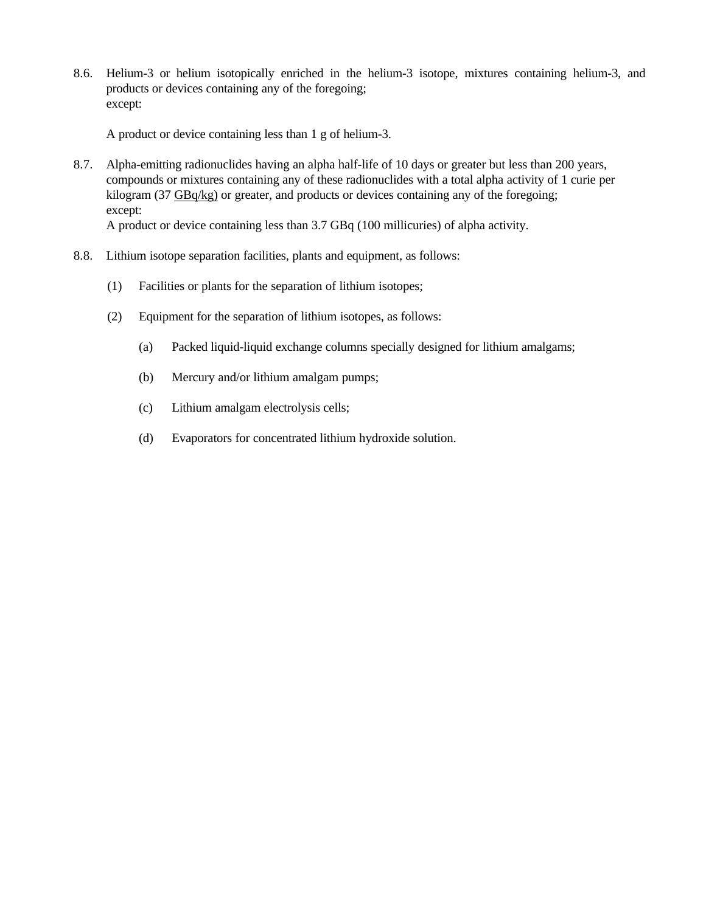8.6. Helium-3 or helium isotopically enriched in the helium-3 isotope, mixtures containing helium-3, and products or devices containing any of the foregoing; except:

A product or device containing less than 1 g of helium-3.

- 8.7. Alpha-emitting radionuclides having an alpha half-life of 10 days or greater but less than 200 years, compounds or mixtures containing any of these radionuclides with a total alpha activity of 1 curie per kilogram (37 GBq/kg) or greater, and products or devices containing any of the foregoing; except: A product or device containing less than 3.7 GBq (100 millicuries) of alpha activity.
- 8.8. Lithium isotope separation facilities, plants and equipment, as follows:
	- (1) Facilities or plants for the separation of lithium isotopes;
	- (2) Equipment for the separation of lithium isotopes, as follows:
		- (a) Packed liquid-liquid exchange columns specially designed for lithium amalgams;
		- (b) Mercury and/or lithium amalgam pumps;
		- (c) Lithium amalgam electrolysis cells;
		- (d) Evaporators for concentrated lithium hydroxide solution.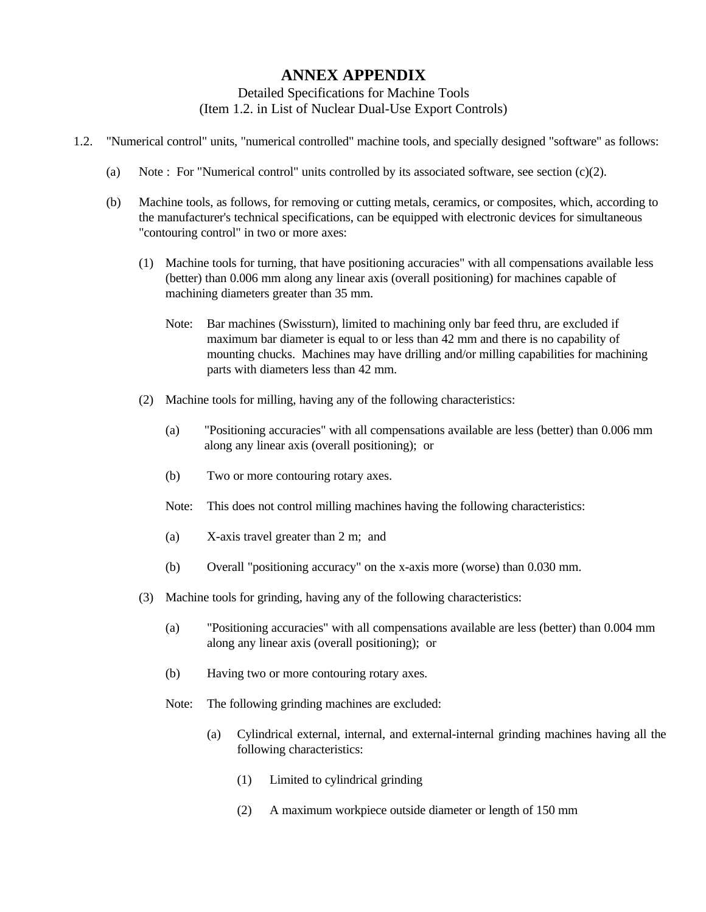## **ANNEX APPENDIX** Detailed Specifications for Machine Tools (Item 1.2. in List of Nuclear Dual-Use Export Controls)

- 1.2. "Numerical control" units, "numerical controlled" machine tools, and specially designed "software" as follows:
	- (a) Note : For "Numerical control" units controlled by its associated software, see section  $(c)(2)$ .
	- (b) Machine tools, as follows, for removing or cutting metals, ceramics, or composites, which, according to the manufacturer's technical specifications, can be equipped with electronic devices for simultaneous "contouring control" in two or more axes:
		- (1) Machine tools for turning, that have positioning accuracies" with all compensations available less (better) than 0.006 mm along any linear axis (overall positioning) for machines capable of machining diameters greater than 35 mm.
			- Note: Bar machines (Swissturn), limited to machining only bar feed thru, are excluded if maximum bar diameter is equal to or less than 42 mm and there is no capability of mounting chucks. Machines may have drilling and/or milling capabilities for machining parts with diameters less than 42 mm.
		- (2) Machine tools for milling, having any of the following characteristics:
			- (a) "Positioning accuracies" with all compensations available are less (better) than 0.006 mm along any linear axis (overall positioning); or
			- (b) Two or more contouring rotary axes.
			- Note: This does not control milling machines having the following characteristics:
			- (a) X-axis travel greater than 2 m; and
			- (b) Overall "positioning accuracy" on the x-axis more (worse) than 0.030 mm.
		- (3) Machine tools for grinding, having any of the following characteristics:
			- (a) "Positioning accuracies" with all compensations available are less (better) than 0.004 mm along any linear axis (overall positioning); or
			- (b) Having two or more contouring rotary axes.
			- Note: The following grinding machines are excluded:
				- (a) Cylindrical external, internal, and external-internal grinding machines having all the following characteristics:
					- (1) Limited to cylindrical grinding
					- (2) A maximum workpiece outside diameter or length of 150 mm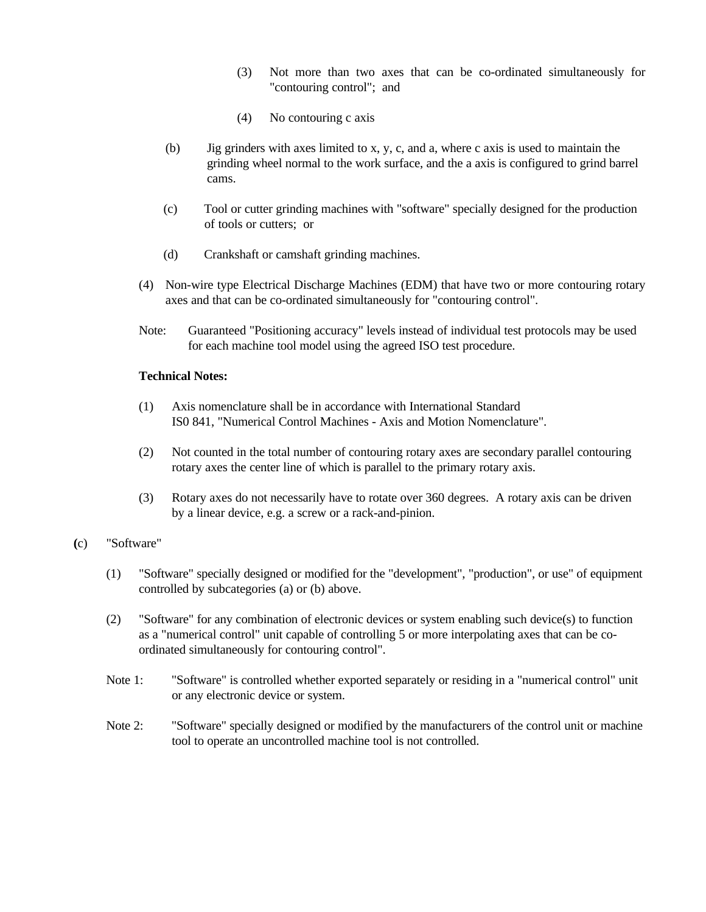- (3) Not more than two axes that can be co-ordinated simultaneously for "contouring control"; and
- (4) No contouring c axis
- (b) Jig grinders with axes limited to x, y, c, and a, where c axis is used to maintain the grinding wheel normal to the work surface, and the a axis is configured to grind barrel cams.
- (c) Tool or cutter grinding machines with "software" specially designed for the production of tools or cutters; or
- (d) Crankshaft or camshaft grinding machines.
- (4) Non-wire type Electrical Discharge Machines (EDM) that have two or more contouring rotary axes and that can be co-ordinated simultaneously for "contouring control".
- Note: Guaranteed "Positioning accuracy" levels instead of individual test protocols may be used for each machine tool model using the agreed ISO test procedure.

#### **Technical Notes:**

- (1) Axis nomenclature shall be in accordance with International Standard IS0 841, "Numerical Control Machines - Axis and Motion Nomenclature".
- (2) Not counted in the total number of contouring rotary axes are secondary parallel contouring rotary axes the center line of which is parallel to the primary rotary axis.
- (3) Rotary axes do not necessarily have to rotate over 360 degrees. A rotary axis can be driven by a linear device, e.g. a screw or a rack-and-pinion.

#### **(**c) "Software"

- (1) "Software" specially designed or modified for the "development", "production", or use" of equipment controlled by subcategories (a) or (b) above.
- (2) "Software" for any combination of electronic devices or system enabling such device(s) to function as a "numerical control" unit capable of controlling 5 or more interpolating axes that can be coordinated simultaneously for contouring control".
- Note 1: "Software" is controlled whether exported separately or residing in a "numerical control" unit or any electronic device or system.
- Note 2: "Software" specially designed or modified by the manufacturers of the control unit or machine tool to operate an uncontrolled machine tool is not controlled.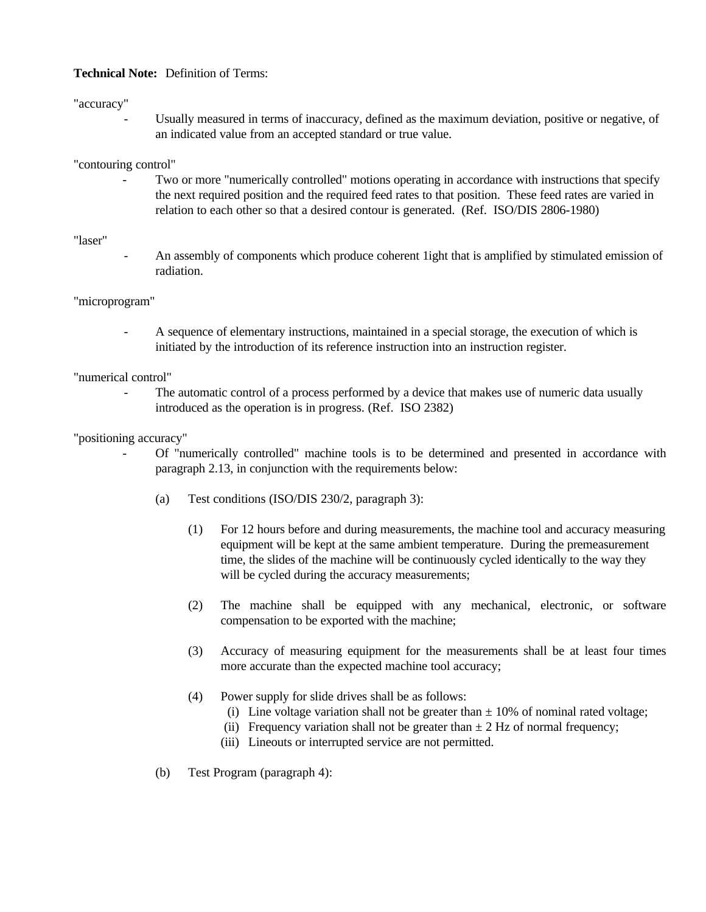### **Technical Note:** Definition of Terms:

#### "accuracy"

- Usually measured in terms of inaccuracy, defined as the maximum deviation, positive or negative, of an indicated value from an accepted standard or true value.

#### "contouring control"

Two or more "numerically controlled" motions operating in accordance with instructions that specify the next required position and the required feed rates to that position. These feed rates are varied in relation to each other so that a desired contour is generated. (Ref. ISO/DIS 2806-1980)

#### "laser"

- An assembly of components which produce coherent 1ight that is amplified by stimulated emission of radiation.

#### "microprogram"

- A sequence of elementary instructions, maintained in a special storage, the execution of which is initiated by the introduction of its reference instruction into an instruction register.

#### "numerical control"

The automatic control of a process performed by a device that makes use of numeric data usually introduced as the operation is in progress. (Ref. ISO 2382)

#### "positioning accuracy"

- Of "numerically controlled" machine tools is to be determined and presented in accordance with paragraph 2.13, in conjunction with the requirements below:
	- (a) Test conditions (ISO/DIS 230/2, paragraph 3):
		- (1) For 12 hours before and during measurements, the machine tool and accuracy measuring equipment will be kept at the same ambient temperature. During the premeasurement time, the slides of the machine will be continuously cycled identically to the way they will be cycled during the accuracy measurements;
		- (2) The machine shall be equipped with any mechanical, electronic, or software compensation to be exported with the machine;
		- (3) Accuracy of measuring equipment for the measurements shall be at least four times more accurate than the expected machine tool accuracy;
		- (4) Power supply for slide drives shall be as follows:
			- (i) Line voltage variation shall not be greater than  $\pm$  10% of nominal rated voltage;
			- (ii) Frequency variation shall not be greater than  $\pm$  2 Hz of normal frequency;
			- (iii) Lineouts or interrupted service are not permitted.
	- (b) Test Program (paragraph 4):